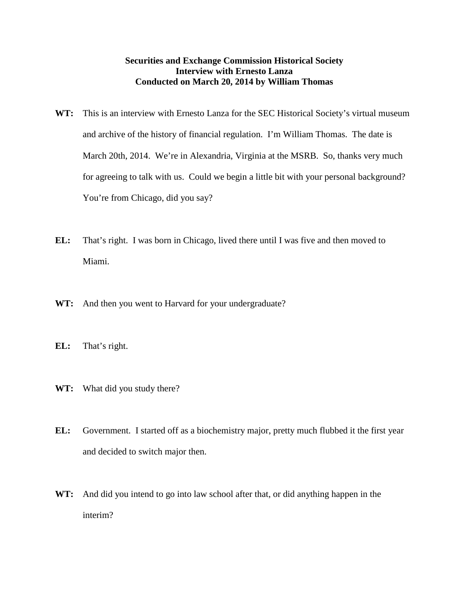## **Securities and Exchange Commission Historical Society Interview with Ernesto Lanza Conducted on March 20, 2014 by William Thomas**

- WT: This is an interview with Ernesto Lanza for the SEC Historical Society's virtual museum and archive of the history of financial regulation. I'm William Thomas. The date is March 20th, 2014. We're in Alexandria, Virginia at the MSRB. So, thanks very much for agreeing to talk with us. Could we begin a little bit with your personal background? You're from Chicago, did you say?
- **EL:** That's right. I was born in Chicago, lived there until I was five and then moved to Miami.
- **WT:** And then you went to Harvard for your undergraduate?
- **EL:** That's right.
- **WT:** What did you study there?
- **EL:** Government. I started off as a biochemistry major, pretty much flubbed it the first year and decided to switch major then.
- **WT:** And did you intend to go into law school after that, or did anything happen in the interim?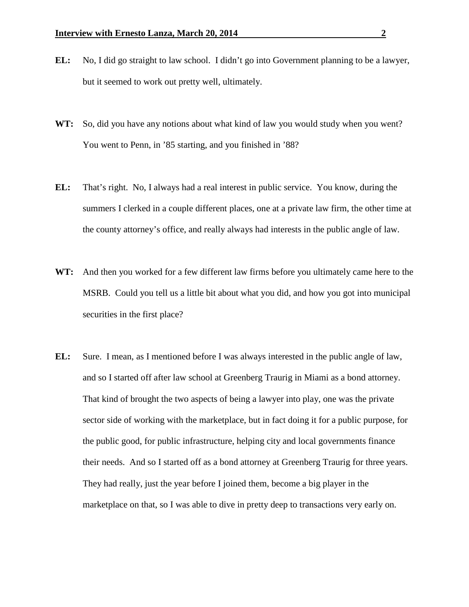- **EL:** No, I did go straight to law school. I didn't go into Government planning to be a lawyer, but it seemed to work out pretty well, ultimately.
- **WT:** So, did you have any notions about what kind of law you would study when you went? You went to Penn, in '85 starting, and you finished in '88?
- **EL:** That's right. No, I always had a real interest in public service. You know, during the summers I clerked in a couple different places, one at a private law firm, the other time at the county attorney's office, and really always had interests in the public angle of law.
- **WT:** And then you worked for a few different law firms before you ultimately came here to the MSRB. Could you tell us a little bit about what you did, and how you got into municipal securities in the first place?
- **EL:** Sure. I mean, as I mentioned before I was always interested in the public angle of law, and so I started off after law school at Greenberg Traurig in Miami as a bond attorney. That kind of brought the two aspects of being a lawyer into play, one was the private sector side of working with the marketplace, but in fact doing it for a public purpose, for the public good, for public infrastructure, helping city and local governments finance their needs. And so I started off as a bond attorney at Greenberg Traurig for three years. They had really, just the year before I joined them, become a big player in the marketplace on that, so I was able to dive in pretty deep to transactions very early on.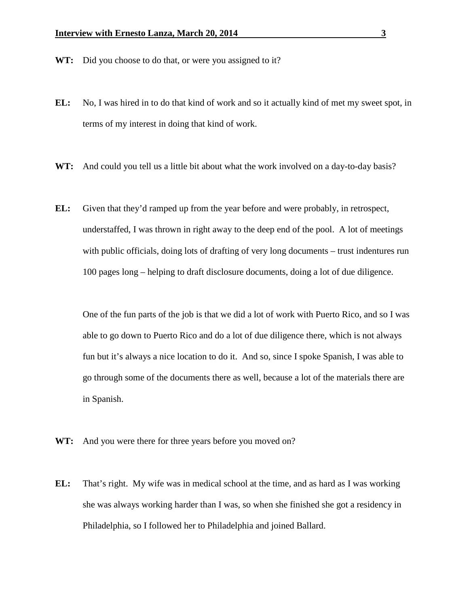- WT: Did you choose to do that, or were you assigned to it?
- **EL:** No, I was hired in to do that kind of work and so it actually kind of met my sweet spot, in terms of my interest in doing that kind of work.
- **WT:** And could you tell us a little bit about what the work involved on a day-to-day basis?
- **EL:** Given that they'd ramped up from the year before and were probably, in retrospect, understaffed, I was thrown in right away to the deep end of the pool. A lot of meetings with public officials, doing lots of drafting of very long documents – trust indentures run 100 pages long – helping to draft disclosure documents, doing a lot of due diligence.

One of the fun parts of the job is that we did a lot of work with Puerto Rico, and so I was able to go down to Puerto Rico and do a lot of due diligence there, which is not always fun but it's always a nice location to do it. And so, since I spoke Spanish, I was able to go through some of the documents there as well, because a lot of the materials there are in Spanish.

- **WT:** And you were there for three years before you moved on?
- **EL:** That's right. My wife was in medical school at the time, and as hard as I was working she was always working harder than I was, so when she finished she got a residency in Philadelphia, so I followed her to Philadelphia and joined Ballard.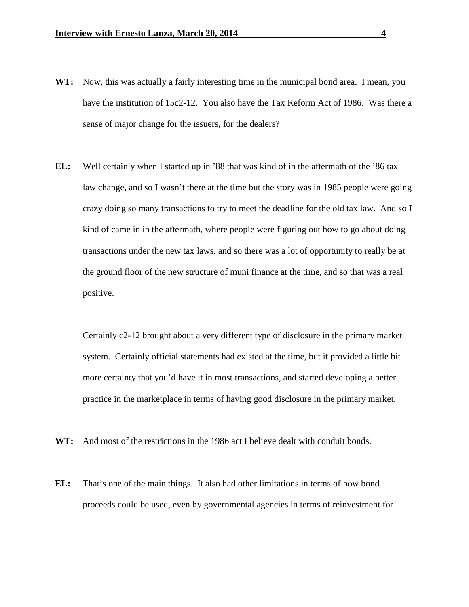- **WT:** Now, this was actually a fairly interesting time in the municipal bond area. I mean, you have the institution of 15c2-12. You also have the Tax Reform Act of 1986. Was there a sense of major change for the issuers, for the dealers?
- **EL:** Well certainly when I started up in '88 that was kind of in the aftermath of the '86 tax law change, and so I wasn't there at the time but the story was in 1985 people were going crazy doing so many transactions to try to meet the deadline for the old tax law. And so I kind of came in in the aftermath, where people were figuring out how to go about doing transactions under the new tax laws, and so there was a lot of opportunity to really be at the ground floor of the new structure of muni finance at the time, and so that was a real positive.

Certainly c2-12 brought about a very different type of disclosure in the primary market system. Certainly official statements had existed at the time, but it provided a little bit more certainty that you'd have it in most transactions, and started developing a better practice in the marketplace in terms of having good disclosure in the primary market.

- **WT:** And most of the restrictions in the 1986 act I believe dealt with conduit bonds.
- **EL:** That's one of the main things. It also had other limitations in terms of how bond proceeds could be used, even by governmental agencies in terms of reinvestment for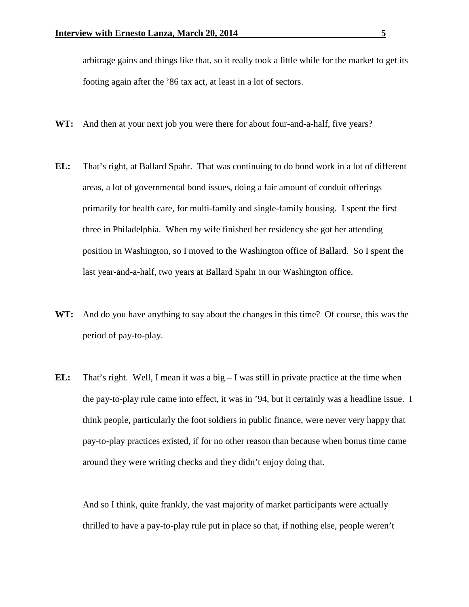arbitrage gains and things like that, so it really took a little while for the market to get its footing again after the '86 tax act, at least in a lot of sectors.

- **WT:** And then at your next job you were there for about four-and-a-half, five years?
- **EL:** That's right, at Ballard Spahr. That was continuing to do bond work in a lot of different areas, a lot of governmental bond issues, doing a fair amount of conduit offerings primarily for health care, for multi-family and single-family housing. I spent the first three in Philadelphia. When my wife finished her residency she got her attending position in Washington, so I moved to the Washington office of Ballard. So I spent the last year-and-a-half, two years at Ballard Spahr in our Washington office.
- **WT:** And do you have anything to say about the changes in this time? Of course, this was the period of pay-to-play.
- **EL:** That's right. Well, I mean it was a big I was still in private practice at the time when the pay-to-play rule came into effect, it was in '94, but it certainly was a headline issue. I think people, particularly the foot soldiers in public finance, were never very happy that pay-to-play practices existed, if for no other reason than because when bonus time came around they were writing checks and they didn't enjoy doing that.

And so I think, quite frankly, the vast majority of market participants were actually thrilled to have a pay-to-play rule put in place so that, if nothing else, people weren't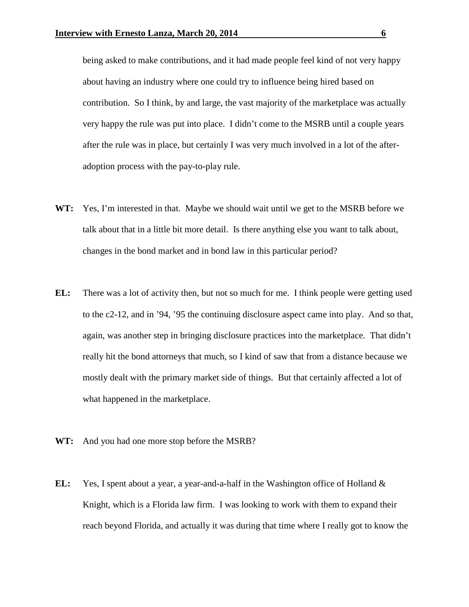being asked to make contributions, and it had made people feel kind of not very happy about having an industry where one could try to influence being hired based on contribution. So I think, by and large, the vast majority of the marketplace was actually very happy the rule was put into place. I didn't come to the MSRB until a couple years after the rule was in place, but certainly I was very much involved in a lot of the afteradoption process with the pay-to-play rule.

- **WT:** Yes, I'm interested in that. Maybe we should wait until we get to the MSRB before we talk about that in a little bit more detail. Is there anything else you want to talk about, changes in the bond market and in bond law in this particular period?
- **EL:** There was a lot of activity then, but not so much for me. I think people were getting used to the c2-12, and in '94, '95 the continuing disclosure aspect came into play. And so that, again, was another step in bringing disclosure practices into the marketplace. That didn't really hit the bond attorneys that much, so I kind of saw that from a distance because we mostly dealt with the primary market side of things. But that certainly affected a lot of what happened in the marketplace.
- **WT:** And you had one more stop before the MSRB?
- **EL:** Yes, I spent about a year, a year-and-a-half in the Washington office of Holland & Knight, which is a Florida law firm. I was looking to work with them to expand their reach beyond Florida, and actually it was during that time where I really got to know the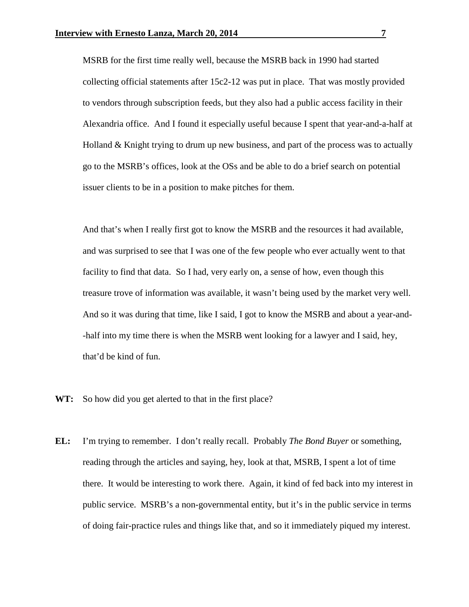MSRB for the first time really well, because the MSRB back in 1990 had started collecting official statements after 15c2-12 was put in place. That was mostly provided to vendors through subscription feeds, but they also had a public access facility in their Alexandria office. And I found it especially useful because I spent that year-and-a-half at Holland  $&$  Knight trying to drum up new business, and part of the process was to actually go to the MSRB's offices, look at the OSs and be able to do a brief search on potential issuer clients to be in a position to make pitches for them.

And that's when I really first got to know the MSRB and the resources it had available, and was surprised to see that I was one of the few people who ever actually went to that facility to find that data. So I had, very early on, a sense of how, even though this treasure trove of information was available, it wasn't being used by the market very well. And so it was during that time, like I said, I got to know the MSRB and about a year-and- -half into my time there is when the MSRB went looking for a lawyer and I said, hey, that'd be kind of fun.

- **WT:** So how did you get alerted to that in the first place?
- **EL:** I'm trying to remember. I don't really recall. Probably *The Bond Buyer* or something, reading through the articles and saying, hey, look at that, MSRB, I spent a lot of time there. It would be interesting to work there. Again, it kind of fed back into my interest in public service. MSRB's a non-governmental entity, but it's in the public service in terms of doing fair-practice rules and things like that, and so it immediately piqued my interest.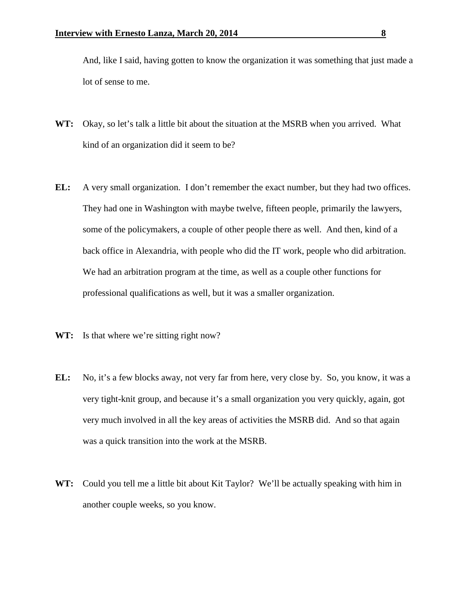And, like I said, having gotten to know the organization it was something that just made a lot of sense to me.

- **WT:** Okay, so let's talk a little bit about the situation at the MSRB when you arrived. What kind of an organization did it seem to be?
- **EL:** A very small organization. I don't remember the exact number, but they had two offices. They had one in Washington with maybe twelve, fifteen people, primarily the lawyers, some of the policymakers, a couple of other people there as well. And then, kind of a back office in Alexandria, with people who did the IT work, people who did arbitration. We had an arbitration program at the time, as well as a couple other functions for professional qualifications as well, but it was a smaller organization.
- WT: Is that where we're sitting right now?
- **EL:** No, it's a few blocks away, not very far from here, very close by. So, you know, it was a very tight-knit group, and because it's a small organization you very quickly, again, got very much involved in all the key areas of activities the MSRB did. And so that again was a quick transition into the work at the MSRB.
- **WT:** Could you tell me a little bit about Kit Taylor? We'll be actually speaking with him in another couple weeks, so you know.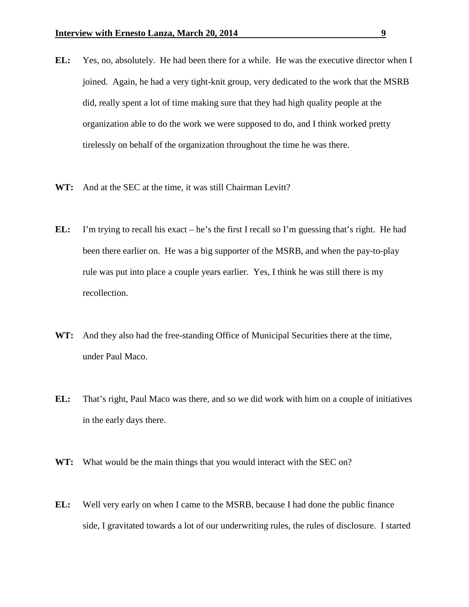- **EL:** Yes, no, absolutely. He had been there for a while. He was the executive director when I joined. Again, he had a very tight-knit group, very dedicated to the work that the MSRB did, really spent a lot of time making sure that they had high quality people at the organization able to do the work we were supposed to do, and I think worked pretty tirelessly on behalf of the organization throughout the time he was there.
- **WT:** And at the SEC at the time, it was still Chairman Levitt?
- **EL:** I'm trying to recall his exact he's the first I recall so I'm guessing that's right. He had been there earlier on. He was a big supporter of the MSRB, and when the pay-to-play rule was put into place a couple years earlier. Yes, I think he was still there is my recollection.
- **WT:** And they also had the free-standing Office of Municipal Securities there at the time, under Paul Maco.
- **EL:** That's right, Paul Maco was there, and so we did work with him on a couple of initiatives in the early days there.
- **WT:** What would be the main things that you would interact with the SEC on?
- **EL:** Well very early on when I came to the MSRB, because I had done the public finance side, I gravitated towards a lot of our underwriting rules, the rules of disclosure. I started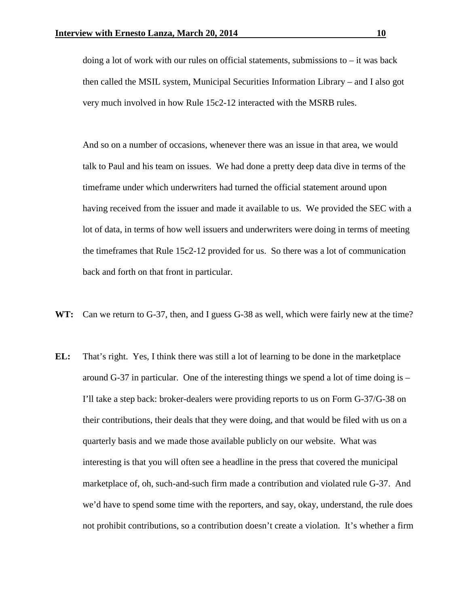doing a lot of work with our rules on official statements, submissions to – it was back then called the MSIL system, Municipal Securities Information Library – and I also got very much involved in how Rule 15c2-12 interacted with the MSRB rules.

And so on a number of occasions, whenever there was an issue in that area, we would talk to Paul and his team on issues. We had done a pretty deep data dive in terms of the timeframe under which underwriters had turned the official statement around upon having received from the issuer and made it available to us. We provided the SEC with a lot of data, in terms of how well issuers and underwriters were doing in terms of meeting the timeframes that Rule 15c2-12 provided for us. So there was a lot of communication back and forth on that front in particular.

- **WT:** Can we return to G-37, then, and I guess G-38 as well, which were fairly new at the time?
- **EL:** That's right. Yes, I think there was still a lot of learning to be done in the marketplace around G-37 in particular. One of the interesting things we spend a lot of time doing is  $-$ I'll take a step back: broker-dealers were providing reports to us on Form G-37/G-38 on their contributions, their deals that they were doing, and that would be filed with us on a quarterly basis and we made those available publicly on our website. What was interesting is that you will often see a headline in the press that covered the municipal marketplace of, oh, such-and-such firm made a contribution and violated rule G-37. And we'd have to spend some time with the reporters, and say, okay, understand, the rule does not prohibit contributions, so a contribution doesn't create a violation. It's whether a firm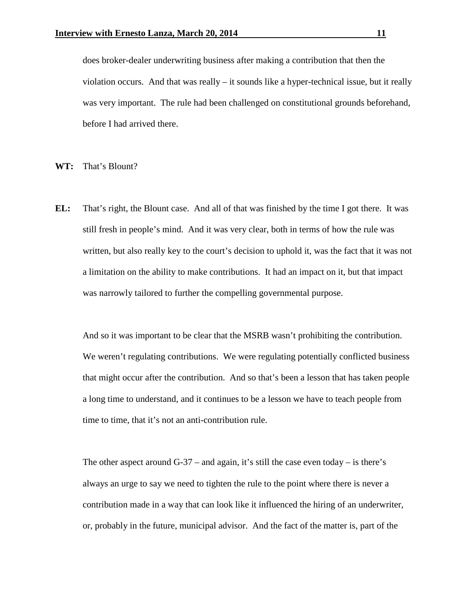does broker-dealer underwriting business after making a contribution that then the violation occurs. And that was really – it sounds like a hyper-technical issue, but it really was very important. The rule had been challenged on constitutional grounds beforehand, before I had arrived there.

**WT:** That's Blount?

**EL:** That's right, the Blount case. And all of that was finished by the time I got there. It was still fresh in people's mind. And it was very clear, both in terms of how the rule was written, but also really key to the court's decision to uphold it, was the fact that it was not a limitation on the ability to make contributions. It had an impact on it, but that impact was narrowly tailored to further the compelling governmental purpose.

And so it was important to be clear that the MSRB wasn't prohibiting the contribution. We weren't regulating contributions. We were regulating potentially conflicted business that might occur after the contribution. And so that's been a lesson that has taken people a long time to understand, and it continues to be a lesson we have to teach people from time to time, that it's not an anti-contribution rule.

The other aspect around  $G-37$  – and again, it's still the case even today – is there's always an urge to say we need to tighten the rule to the point where there is never a contribution made in a way that can look like it influenced the hiring of an underwriter, or, probably in the future, municipal advisor. And the fact of the matter is, part of the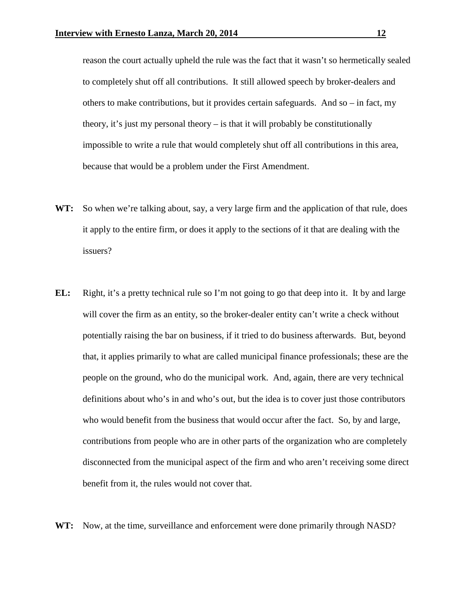reason the court actually upheld the rule was the fact that it wasn't so hermetically sealed to completely shut off all contributions. It still allowed speech by broker-dealers and others to make contributions, but it provides certain safeguards. And so  $-$  in fact, my theory, it's just my personal theory – is that it will probably be constitutionally impossible to write a rule that would completely shut off all contributions in this area, because that would be a problem under the First Amendment.

- **WT:** So when we're talking about, say, a very large firm and the application of that rule, does it apply to the entire firm, or does it apply to the sections of it that are dealing with the issuers?
- **EL:** Right, it's a pretty technical rule so I'm not going to go that deep into it. It by and large will cover the firm as an entity, so the broker-dealer entity can't write a check without potentially raising the bar on business, if it tried to do business afterwards. But, beyond that, it applies primarily to what are called municipal finance professionals; these are the people on the ground, who do the municipal work. And, again, there are very technical definitions about who's in and who's out, but the idea is to cover just those contributors who would benefit from the business that would occur after the fact. So, by and large, contributions from people who are in other parts of the organization who are completely disconnected from the municipal aspect of the firm and who aren't receiving some direct benefit from it, the rules would not cover that.
- **WT:** Now, at the time, surveillance and enforcement were done primarily through NASD?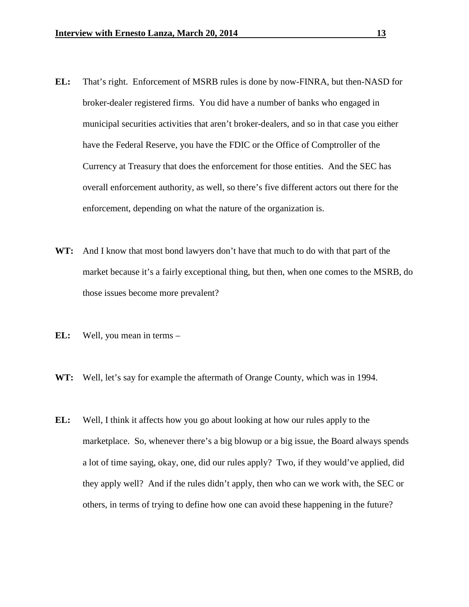- **EL:** That's right. Enforcement of MSRB rules is done by now-FINRA, but then-NASD for broker-dealer registered firms. You did have a number of banks who engaged in municipal securities activities that aren't broker-dealers, and so in that case you either have the Federal Reserve, you have the FDIC or the Office of Comptroller of the Currency at Treasury that does the enforcement for those entities. And the SEC has overall enforcement authority, as well, so there's five different actors out there for the enforcement, depending on what the nature of the organization is.
- **WT:** And I know that most bond lawyers don't have that much to do with that part of the market because it's a fairly exceptional thing, but then, when one comes to the MSRB, do those issues become more prevalent?
- **EL:** Well, you mean in terms –
- **WT:** Well, let's say for example the aftermath of Orange County, which was in 1994.
- **EL:** Well, I think it affects how you go about looking at how our rules apply to the marketplace. So, whenever there's a big blowup or a big issue, the Board always spends a lot of time saying, okay, one, did our rules apply? Two, if they would've applied, did they apply well? And if the rules didn't apply, then who can we work with, the SEC or others, in terms of trying to define how one can avoid these happening in the future?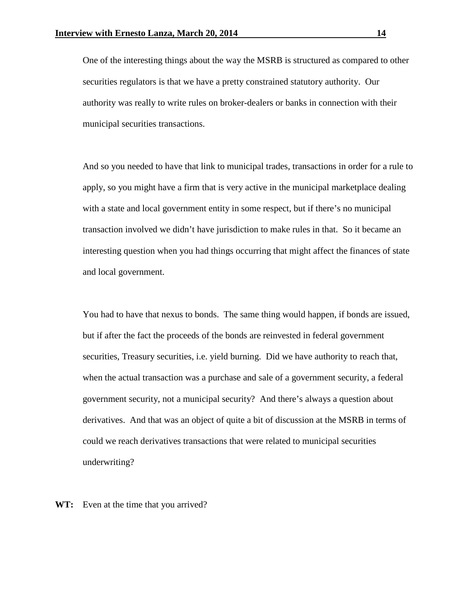One of the interesting things about the way the MSRB is structured as compared to other securities regulators is that we have a pretty constrained statutory authority. Our authority was really to write rules on broker-dealers or banks in connection with their municipal securities transactions.

And so you needed to have that link to municipal trades, transactions in order for a rule to apply, so you might have a firm that is very active in the municipal marketplace dealing with a state and local government entity in some respect, but if there's no municipal transaction involved we didn't have jurisdiction to make rules in that. So it became an interesting question when you had things occurring that might affect the finances of state and local government.

You had to have that nexus to bonds. The same thing would happen, if bonds are issued, but if after the fact the proceeds of the bonds are reinvested in federal government securities, Treasury securities, i.e. yield burning. Did we have authority to reach that, when the actual transaction was a purchase and sale of a government security, a federal government security, not a municipal security? And there's always a question about derivatives. And that was an object of quite a bit of discussion at the MSRB in terms of could we reach derivatives transactions that were related to municipal securities underwriting?

**WT:** Even at the time that you arrived?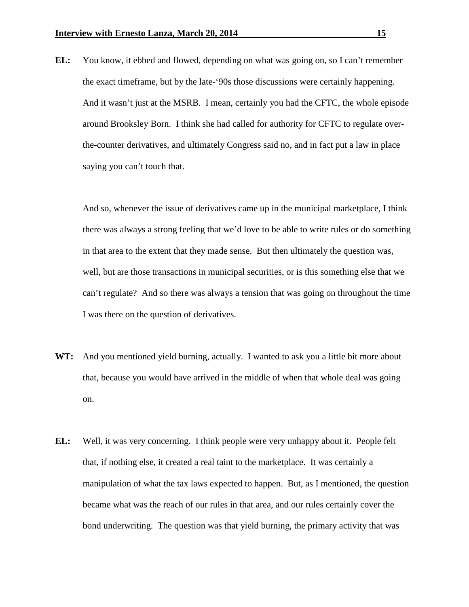**EL:** You know, it ebbed and flowed, depending on what was going on, so I can't remember the exact timeframe, but by the late-'90s those discussions were certainly happening. And it wasn't just at the MSRB. I mean, certainly you had the CFTC, the whole episode around Brooksley Born. I think she had called for authority for CFTC to regulate overthe-counter derivatives, and ultimately Congress said no, and in fact put a law in place saying you can't touch that.

And so, whenever the issue of derivatives came up in the municipal marketplace, I think there was always a strong feeling that we'd love to be able to write rules or do something in that area to the extent that they made sense. But then ultimately the question was, well, but are those transactions in municipal securities, or is this something else that we can't regulate? And so there was always a tension that was going on throughout the time I was there on the question of derivatives.

- **WT:** And you mentioned yield burning, actually. I wanted to ask you a little bit more about that, because you would have arrived in the middle of when that whole deal was going on.
- **EL:** Well, it was very concerning. I think people were very unhappy about it. People felt that, if nothing else, it created a real taint to the marketplace. It was certainly a manipulation of what the tax laws expected to happen. But, as I mentioned, the question became what was the reach of our rules in that area, and our rules certainly cover the bond underwriting. The question was that yield burning, the primary activity that was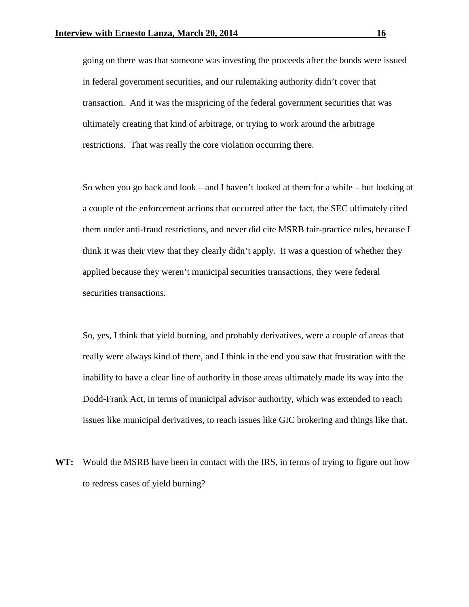going on there was that someone was investing the proceeds after the bonds were issued in federal government securities, and our rulemaking authority didn't cover that transaction. And it was the mispricing of the federal government securities that was ultimately creating that kind of arbitrage, or trying to work around the arbitrage restrictions. That was really the core violation occurring there.

So when you go back and look – and I haven't looked at them for a while – but looking at a couple of the enforcement actions that occurred after the fact, the SEC ultimately cited them under anti-fraud restrictions, and never did cite MSRB fair-practice rules, because I think it was their view that they clearly didn't apply. It was a question of whether they applied because they weren't municipal securities transactions, they were federal securities transactions.

So, yes, I think that yield burning, and probably derivatives, were a couple of areas that really were always kind of there, and I think in the end you saw that frustration with the inability to have a clear line of authority in those areas ultimately made its way into the Dodd-Frank Act, in terms of municipal advisor authority, which was extended to reach issues like municipal derivatives, to reach issues like GIC brokering and things like that.

**WT:** Would the MSRB have been in contact with the IRS, in terms of trying to figure out how to redress cases of yield burning?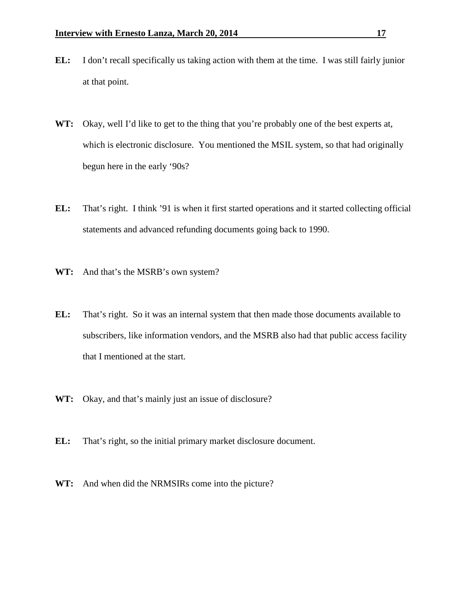- **EL:** I don't recall specifically us taking action with them at the time. I was still fairly junior at that point.
- **WT:** Okay, well I'd like to get to the thing that you're probably one of the best experts at, which is electronic disclosure. You mentioned the MSIL system, so that had originally begun here in the early '90s?
- **EL:** That's right. I think '91 is when it first started operations and it started collecting official statements and advanced refunding documents going back to 1990.
- **WT:** And that's the MSRB's own system?
- **EL:** That's right. So it was an internal system that then made those documents available to subscribers, like information vendors, and the MSRB also had that public access facility that I mentioned at the start.
- **WT:** Okay, and that's mainly just an issue of disclosure?
- **EL:** That's right, so the initial primary market disclosure document.
- **WT:** And when did the NRMSIRs come into the picture?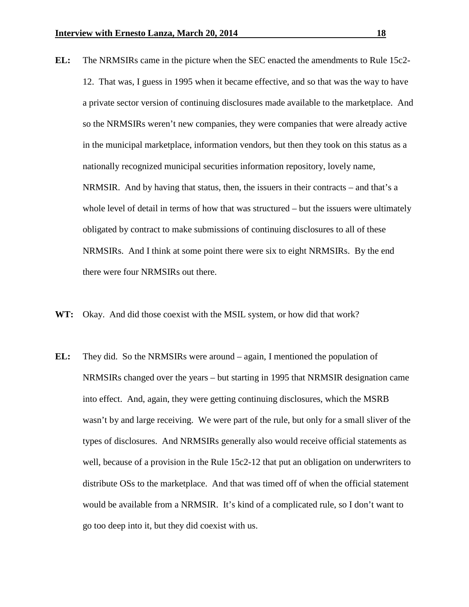- **EL:** The NRMSIRs came in the picture when the SEC enacted the amendments to Rule 15c2- 12. That was, I guess in 1995 when it became effective, and so that was the way to have a private sector version of continuing disclosures made available to the marketplace. And so the NRMSIRs weren't new companies, they were companies that were already active in the municipal marketplace, information vendors, but then they took on this status as a nationally recognized municipal securities information repository, lovely name, NRMSIR. And by having that status, then, the issuers in their contracts – and that's a whole level of detail in terms of how that was structured – but the issuers were ultimately obligated by contract to make submissions of continuing disclosures to all of these NRMSIRs. And I think at some point there were six to eight NRMSIRs. By the end there were four NRMSIRs out there.
- **WT:** Okay. And did those coexist with the MSIL system, or how did that work?
- **EL:** They did. So the NRMSIRs were around again, I mentioned the population of NRMSIRs changed over the years – but starting in 1995 that NRMSIR designation came into effect. And, again, they were getting continuing disclosures, which the MSRB wasn't by and large receiving. We were part of the rule, but only for a small sliver of the types of disclosures. And NRMSIRs generally also would receive official statements as well, because of a provision in the Rule 15c2-12 that put an obligation on underwriters to distribute OSs to the marketplace. And that was timed off of when the official statement would be available from a NRMSIR. It's kind of a complicated rule, so I don't want to go too deep into it, but they did coexist with us.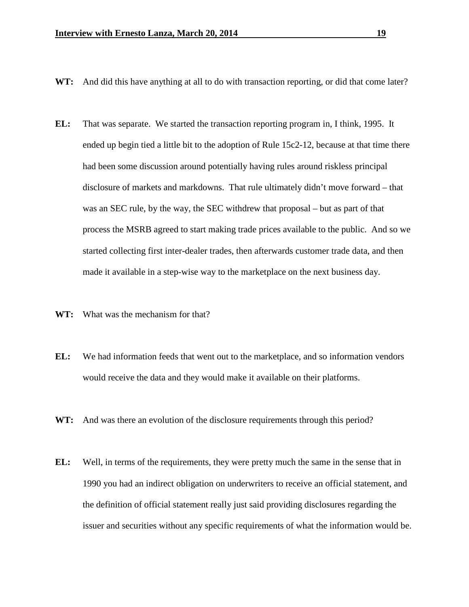- **WT:** And did this have anything at all to do with transaction reporting, or did that come later?
- **EL:** That was separate. We started the transaction reporting program in, I think, 1995. It ended up begin tied a little bit to the adoption of Rule 15c2-12, because at that time there had been some discussion around potentially having rules around riskless principal disclosure of markets and markdowns. That rule ultimately didn't move forward – that was an SEC rule, by the way, the SEC withdrew that proposal – but as part of that process the MSRB agreed to start making trade prices available to the public. And so we started collecting first inter-dealer trades, then afterwards customer trade data, and then made it available in a step-wise way to the marketplace on the next business day.
- **WT:** What was the mechanism for that?
- **EL:** We had information feeds that went out to the marketplace, and so information vendors would receive the data and they would make it available on their platforms.
- **WT:** And was there an evolution of the disclosure requirements through this period?
- **EL:** Well, in terms of the requirements, they were pretty much the same in the sense that in 1990 you had an indirect obligation on underwriters to receive an official statement, and the definition of official statement really just said providing disclosures regarding the issuer and securities without any specific requirements of what the information would be.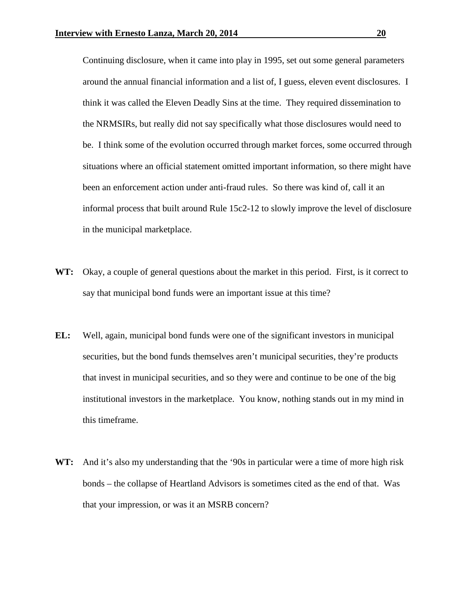Continuing disclosure, when it came into play in 1995, set out some general parameters around the annual financial information and a list of, I guess, eleven event disclosures. I think it was called the Eleven Deadly Sins at the time. They required dissemination to the NRMSIRs, but really did not say specifically what those disclosures would need to be. I think some of the evolution occurred through market forces, some occurred through situations where an official statement omitted important information, so there might have been an enforcement action under anti-fraud rules. So there was kind of, call it an informal process that built around Rule 15c2-12 to slowly improve the level of disclosure in the municipal marketplace.

- WT: Okay, a couple of general questions about the market in this period. First, is it correct to say that municipal bond funds were an important issue at this time?
- **EL:** Well, again, municipal bond funds were one of the significant investors in municipal securities, but the bond funds themselves aren't municipal securities, they're products that invest in municipal securities, and so they were and continue to be one of the big institutional investors in the marketplace. You know, nothing stands out in my mind in this timeframe.
- **WT:** And it's also my understanding that the '90s in particular were a time of more high risk bonds – the collapse of Heartland Advisors is sometimes cited as the end of that. Was that your impression, or was it an MSRB concern?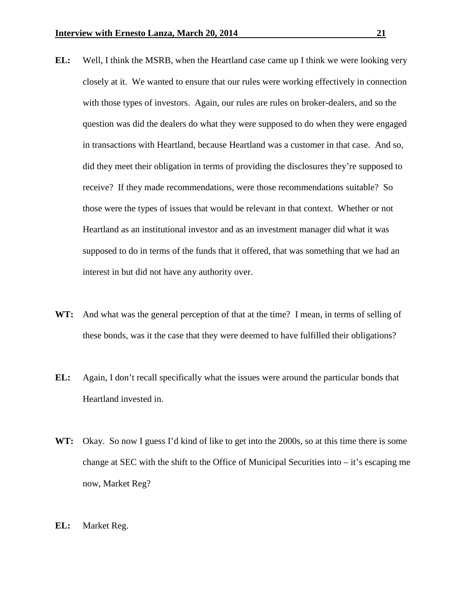- **EL:** Well, I think the MSRB, when the Heartland case came up I think we were looking very closely at it. We wanted to ensure that our rules were working effectively in connection with those types of investors. Again, our rules are rules on broker-dealers, and so the question was did the dealers do what they were supposed to do when they were engaged in transactions with Heartland, because Heartland was a customer in that case. And so, did they meet their obligation in terms of providing the disclosures they're supposed to receive? If they made recommendations, were those recommendations suitable? So those were the types of issues that would be relevant in that context. Whether or not Heartland as an institutional investor and as an investment manager did what it was supposed to do in terms of the funds that it offered, that was something that we had an interest in but did not have any authority over.
- **WT:** And what was the general perception of that at the time? I mean, in terms of selling of these bonds, was it the case that they were deemed to have fulfilled their obligations?
- **EL:** Again, I don't recall specifically what the issues were around the particular bonds that Heartland invested in.
- **WT:** Okay. So now I guess I'd kind of like to get into the 2000s, so at this time there is some change at SEC with the shift to the Office of Municipal Securities into – it's escaping me now, Market Reg?
- **EL:** Market Reg.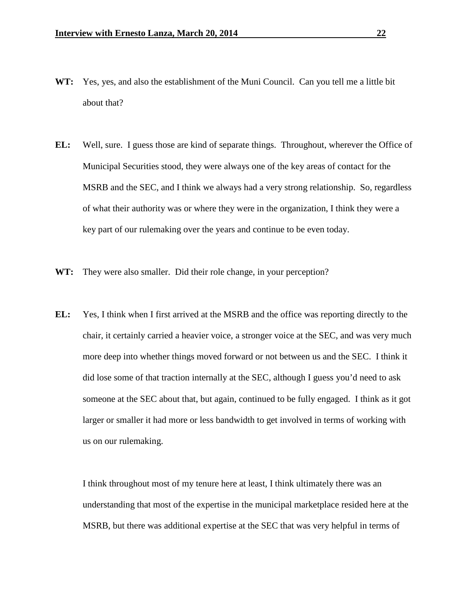- **WT:** Yes, yes, and also the establishment of the Muni Council. Can you tell me a little bit about that?
- **EL:** Well, sure. I guess those are kind of separate things. Throughout, wherever the Office of Municipal Securities stood, they were always one of the key areas of contact for the MSRB and the SEC, and I think we always had a very strong relationship. So, regardless of what their authority was or where they were in the organization, I think they were a key part of our rulemaking over the years and continue to be even today.
- **WT:** They were also smaller. Did their role change, in your perception?
- **EL:** Yes, I think when I first arrived at the MSRB and the office was reporting directly to the chair, it certainly carried a heavier voice, a stronger voice at the SEC, and was very much more deep into whether things moved forward or not between us and the SEC. I think it did lose some of that traction internally at the SEC, although I guess you'd need to ask someone at the SEC about that, but again, continued to be fully engaged. I think as it got larger or smaller it had more or less bandwidth to get involved in terms of working with us on our rulemaking.

I think throughout most of my tenure here at least, I think ultimately there was an understanding that most of the expertise in the municipal marketplace resided here at the MSRB, but there was additional expertise at the SEC that was very helpful in terms of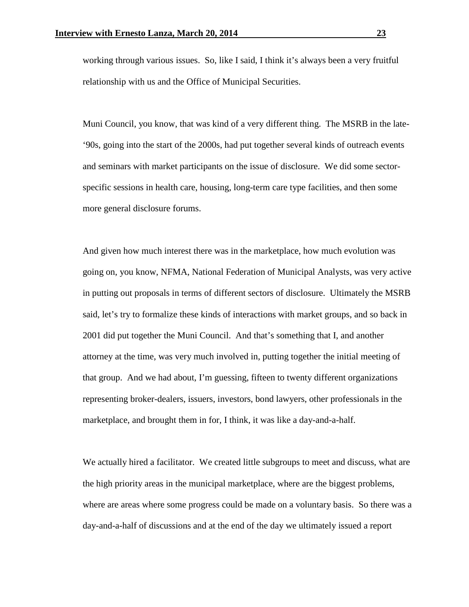working through various issues. So, like I said, I think it's always been a very fruitful relationship with us and the Office of Municipal Securities.

Muni Council, you know, that was kind of a very different thing. The MSRB in the late- '90s, going into the start of the 2000s, had put together several kinds of outreach events and seminars with market participants on the issue of disclosure. We did some sectorspecific sessions in health care, housing, long-term care type facilities, and then some more general disclosure forums.

And given how much interest there was in the marketplace, how much evolution was going on, you know, NFMA, National Federation of Municipal Analysts, was very active in putting out proposals in terms of different sectors of disclosure. Ultimately the MSRB said, let's try to formalize these kinds of interactions with market groups, and so back in 2001 did put together the Muni Council. And that's something that I, and another attorney at the time, was very much involved in, putting together the initial meeting of that group. And we had about, I'm guessing, fifteen to twenty different organizations representing broker-dealers, issuers, investors, bond lawyers, other professionals in the marketplace, and brought them in for, I think, it was like a day-and-a-half.

We actually hired a facilitator. We created little subgroups to meet and discuss, what are the high priority areas in the municipal marketplace, where are the biggest problems, where are areas where some progress could be made on a voluntary basis. So there was a day-and-a-half of discussions and at the end of the day we ultimately issued a report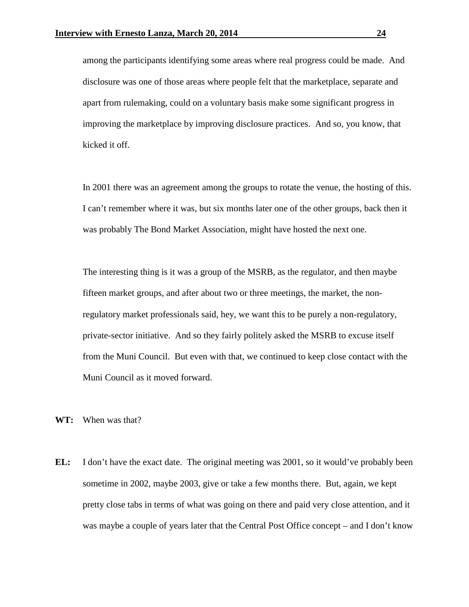among the participants identifying some areas where real progress could be made. And disclosure was one of those areas where people felt that the marketplace, separate and apart from rulemaking, could on a voluntary basis make some significant progress in improving the marketplace by improving disclosure practices. And so, you know, that kicked it off.

In 2001 there was an agreement among the groups to rotate the venue, the hosting of this. I can't remember where it was, but six months later one of the other groups, back then it was probably The Bond Market Association, might have hosted the next one.

The interesting thing is it was a group of the MSRB, as the regulator, and then maybe fifteen market groups, and after about two or three meetings, the market, the nonregulatory market professionals said, hey, we want this to be purely a non-regulatory, private-sector initiative. And so they fairly politely asked the MSRB to excuse itself from the Muni Council. But even with that, we continued to keep close contact with the Muni Council as it moved forward.

**WT:** When was that?

**EL:** I don't have the exact date. The original meeting was 2001, so it would've probably been sometime in 2002, maybe 2003, give or take a few months there. But, again, we kept pretty close tabs in terms of what was going on there and paid very close attention, and it was maybe a couple of years later that the Central Post Office concept – and I don't know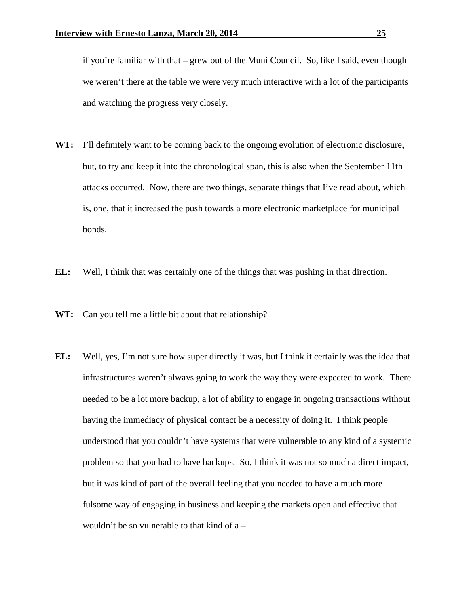if you're familiar with that – grew out of the Muni Council. So, like I said, even though we weren't there at the table we were very much interactive with a lot of the participants and watching the progress very closely.

- **WT:** I'll definitely want to be coming back to the ongoing evolution of electronic disclosure, but, to try and keep it into the chronological span, this is also when the September 11th attacks occurred. Now, there are two things, separate things that I've read about, which is, one, that it increased the push towards a more electronic marketplace for municipal bonds.
- **EL:** Well, I think that was certainly one of the things that was pushing in that direction.
- **WT:** Can you tell me a little bit about that relationship?
- **EL:** Well, yes, I'm not sure how super directly it was, but I think it certainly was the idea that infrastructures weren't always going to work the way they were expected to work. There needed to be a lot more backup, a lot of ability to engage in ongoing transactions without having the immediacy of physical contact be a necessity of doing it. I think people understood that you couldn't have systems that were vulnerable to any kind of a systemic problem so that you had to have backups. So, I think it was not so much a direct impact, but it was kind of part of the overall feeling that you needed to have a much more fulsome way of engaging in business and keeping the markets open and effective that wouldn't be so vulnerable to that kind of a –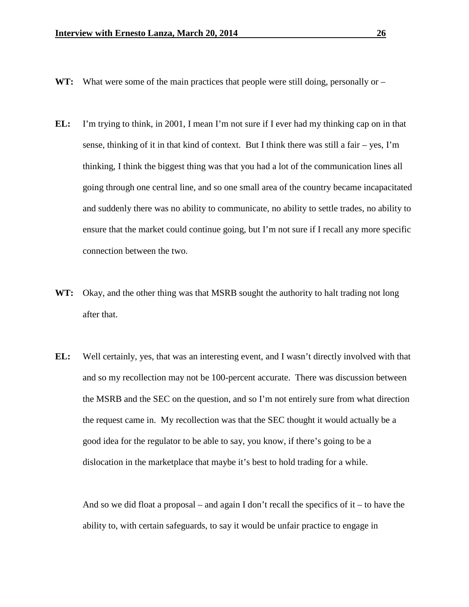- WT: What were some of the main practices that people were still doing, personally or –
- **EL:** I'm trying to think, in 2001, I mean I'm not sure if I ever had my thinking cap on in that sense, thinking of it in that kind of context. But I think there was still a fair – yes, I'm thinking, I think the biggest thing was that you had a lot of the communication lines all going through one central line, and so one small area of the country became incapacitated and suddenly there was no ability to communicate, no ability to settle trades, no ability to ensure that the market could continue going, but I'm not sure if I recall any more specific connection between the two.
- **WT:** Okay, and the other thing was that MSRB sought the authority to halt trading not long after that.
- **EL:** Well certainly, yes, that was an interesting event, and I wasn't directly involved with that and so my recollection may not be 100-percent accurate. There was discussion between the MSRB and the SEC on the question, and so I'm not entirely sure from what direction the request came in. My recollection was that the SEC thought it would actually be a good idea for the regulator to be able to say, you know, if there's going to be a dislocation in the marketplace that maybe it's best to hold trading for a while.

And so we did float a proposal – and again I don't recall the specifics of it – to have the ability to, with certain safeguards, to say it would be unfair practice to engage in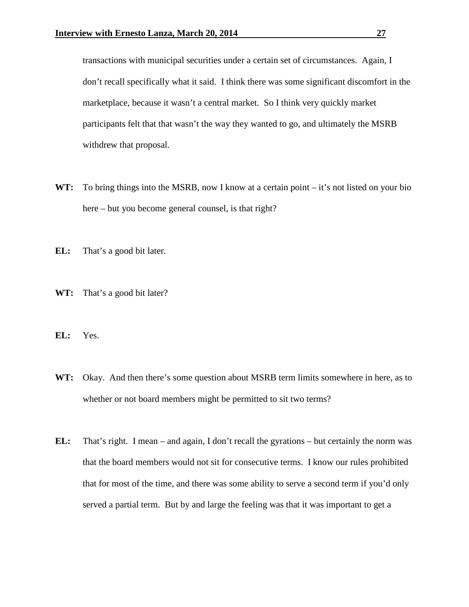transactions with municipal securities under a certain set of circumstances. Again, I don't recall specifically what it said. I think there was some significant discomfort in the marketplace, because it wasn't a central market. So I think very quickly market participants felt that that wasn't the way they wanted to go, and ultimately the MSRB withdrew that proposal.

- WT: To bring things into the MSRB, now I know at a certain point it's not listed on your bio here – but you become general counsel, is that right?
- **EL:** That's a good bit later.
- **WT:** That's a good bit later?
- **EL:** Yes.
- **WT:** Okay. And then there's some question about MSRB term limits somewhere in here, as to whether or not board members might be permitted to sit two terms?
- **EL:** That's right. I mean and again, I don't recall the gyrations but certainly the norm was that the board members would not sit for consecutive terms. I know our rules prohibited that for most of the time, and there was some ability to serve a second term if you'd only served a partial term. But by and large the feeling was that it was important to get a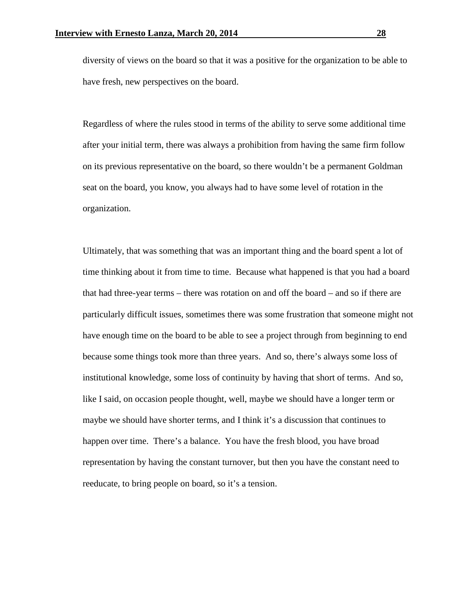diversity of views on the board so that it was a positive for the organization to be able to have fresh, new perspectives on the board.

Regardless of where the rules stood in terms of the ability to serve some additional time after your initial term, there was always a prohibition from having the same firm follow on its previous representative on the board, so there wouldn't be a permanent Goldman seat on the board, you know, you always had to have some level of rotation in the organization.

Ultimately, that was something that was an important thing and the board spent a lot of time thinking about it from time to time. Because what happened is that you had a board that had three-year terms – there was rotation on and off the board – and so if there are particularly difficult issues, sometimes there was some frustration that someone might not have enough time on the board to be able to see a project through from beginning to end because some things took more than three years. And so, there's always some loss of institutional knowledge, some loss of continuity by having that short of terms. And so, like I said, on occasion people thought, well, maybe we should have a longer term or maybe we should have shorter terms, and I think it's a discussion that continues to happen over time. There's a balance. You have the fresh blood, you have broad representation by having the constant turnover, but then you have the constant need to reeducate, to bring people on board, so it's a tension.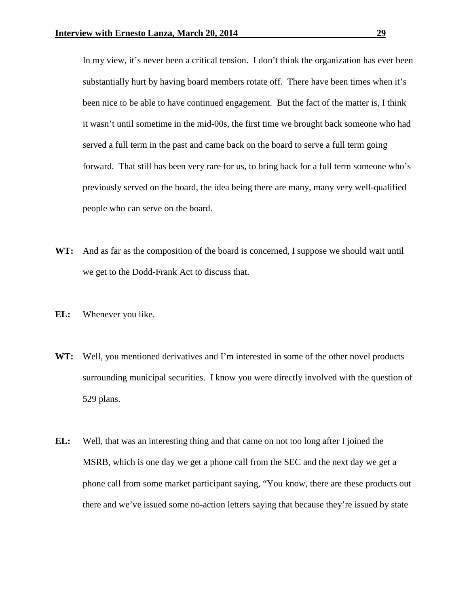In my view, it's never been a critical tension. I don't think the organization has ever been substantially hurt by having board members rotate off. There have been times when it's been nice to be able to have continued engagement. But the fact of the matter is, I think it wasn't until sometime in the mid-00s, the first time we brought back someone who had served a full term in the past and came back on the board to serve a full term going forward. That still has been very rare for us, to bring back for a full term someone who's previously served on the board, the idea being there are many, many very well-qualified people who can serve on the board.

- **WT:** And as far as the composition of the board is concerned, I suppose we should wait until we get to the Dodd-Frank Act to discuss that.
- **EL:** Whenever you like.
- **WT:** Well, you mentioned derivatives and I'm interested in some of the other novel products surrounding municipal securities. I know you were directly involved with the question of 529 plans.
- **EL:** Well, that was an interesting thing and that came on not too long after I joined the MSRB, which is one day we get a phone call from the SEC and the next day we get a phone call from some market participant saying, "You know, there are these products out there and we've issued some no-action letters saying that because they're issued by state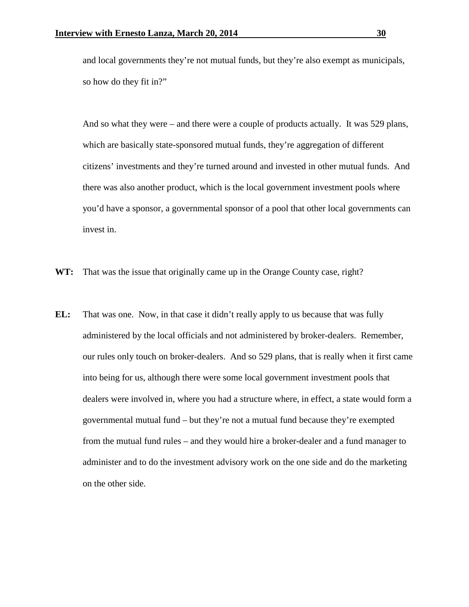and local governments they're not mutual funds, but they're also exempt as municipals, so how do they fit in?"

And so what they were – and there were a couple of products actually. It was 529 plans, which are basically state-sponsored mutual funds, they're aggregation of different citizens' investments and they're turned around and invested in other mutual funds. And there was also another product, which is the local government investment pools where you'd have a sponsor, a governmental sponsor of a pool that other local governments can invest in.

- **WT:** That was the issue that originally came up in the Orange County case, right?
- **EL:** That was one. Now, in that case it didn't really apply to us because that was fully administered by the local officials and not administered by broker-dealers. Remember, our rules only touch on broker-dealers. And so 529 plans, that is really when it first came into being for us, although there were some local government investment pools that dealers were involved in, where you had a structure where, in effect, a state would form a governmental mutual fund – but they're not a mutual fund because they're exempted from the mutual fund rules – and they would hire a broker-dealer and a fund manager to administer and to do the investment advisory work on the one side and do the marketing on the other side.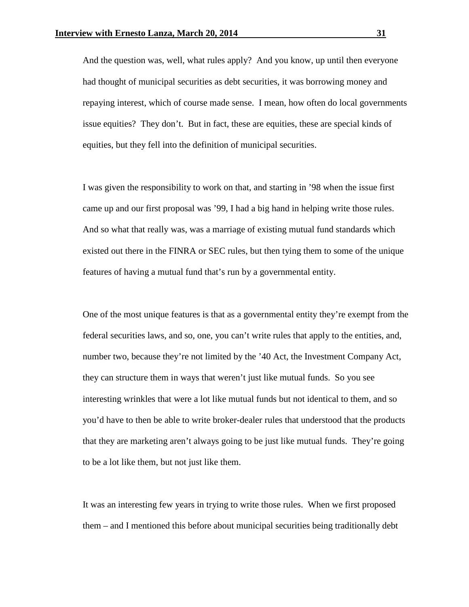And the question was, well, what rules apply? And you know, up until then everyone had thought of municipal securities as debt securities, it was borrowing money and repaying interest, which of course made sense. I mean, how often do local governments issue equities? They don't. But in fact, these are equities, these are special kinds of equities, but they fell into the definition of municipal securities.

I was given the responsibility to work on that, and starting in '98 when the issue first came up and our first proposal was '99, I had a big hand in helping write those rules. And so what that really was, was a marriage of existing mutual fund standards which existed out there in the FINRA or SEC rules, but then tying them to some of the unique features of having a mutual fund that's run by a governmental entity.

One of the most unique features is that as a governmental entity they're exempt from the federal securities laws, and so, one, you can't write rules that apply to the entities, and, number two, because they're not limited by the '40 Act, the Investment Company Act, they can structure them in ways that weren't just like mutual funds. So you see interesting wrinkles that were a lot like mutual funds but not identical to them, and so you'd have to then be able to write broker-dealer rules that understood that the products that they are marketing aren't always going to be just like mutual funds. They're going to be a lot like them, but not just like them.

It was an interesting few years in trying to write those rules. When we first proposed them – and I mentioned this before about municipal securities being traditionally debt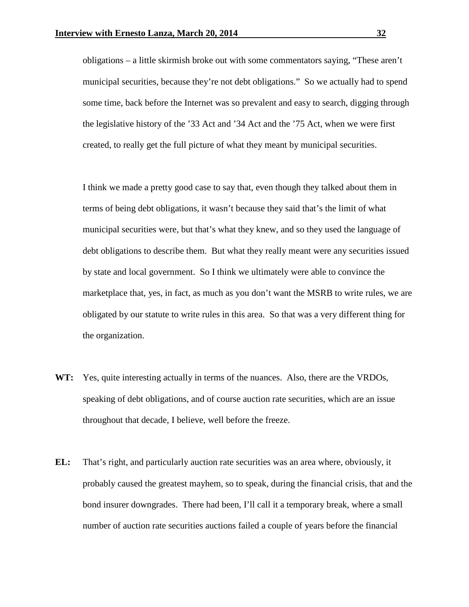obligations – a little skirmish broke out with some commentators saying, "These aren't municipal securities, because they're not debt obligations." So we actually had to spend some time, back before the Internet was so prevalent and easy to search, digging through the legislative history of the '33 Act and '34 Act and the '75 Act, when we were first created, to really get the full picture of what they meant by municipal securities.

I think we made a pretty good case to say that, even though they talked about them in terms of being debt obligations, it wasn't because they said that's the limit of what municipal securities were, but that's what they knew, and so they used the language of debt obligations to describe them. But what they really meant were any securities issued by state and local government. So I think we ultimately were able to convince the marketplace that, yes, in fact, as much as you don't want the MSRB to write rules, we are obligated by our statute to write rules in this area. So that was a very different thing for the organization.

- **WT:** Yes, quite interesting actually in terms of the nuances. Also, there are the VRDOs, speaking of debt obligations, and of course auction rate securities, which are an issue throughout that decade, I believe, well before the freeze.
- **EL:** That's right, and particularly auction rate securities was an area where, obviously, it probably caused the greatest mayhem, so to speak, during the financial crisis, that and the bond insurer downgrades. There had been, I'll call it a temporary break, where a small number of auction rate securities auctions failed a couple of years before the financial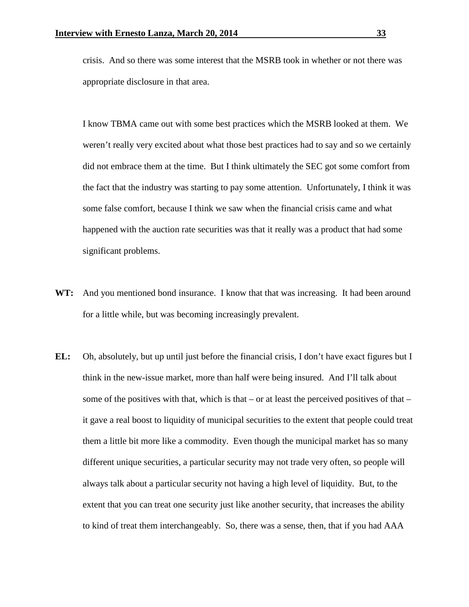crisis. And so there was some interest that the MSRB took in whether or not there was appropriate disclosure in that area.

I know TBMA came out with some best practices which the MSRB looked at them. We weren't really very excited about what those best practices had to say and so we certainly did not embrace them at the time. But I think ultimately the SEC got some comfort from the fact that the industry was starting to pay some attention. Unfortunately, I think it was some false comfort, because I think we saw when the financial crisis came and what happened with the auction rate securities was that it really was a product that had some significant problems.

- **WT:** And you mentioned bond insurance. I know that that was increasing. It had been around for a little while, but was becoming increasingly prevalent.
- **EL:** Oh, absolutely, but up until just before the financial crisis, I don't have exact figures but I think in the new-issue market, more than half were being insured. And I'll talk about some of the positives with that, which is that – or at least the perceived positives of that – it gave a real boost to liquidity of municipal securities to the extent that people could treat them a little bit more like a commodity. Even though the municipal market has so many different unique securities, a particular security may not trade very often, so people will always talk about a particular security not having a high level of liquidity. But, to the extent that you can treat one security just like another security, that increases the ability to kind of treat them interchangeably. So, there was a sense, then, that if you had AAA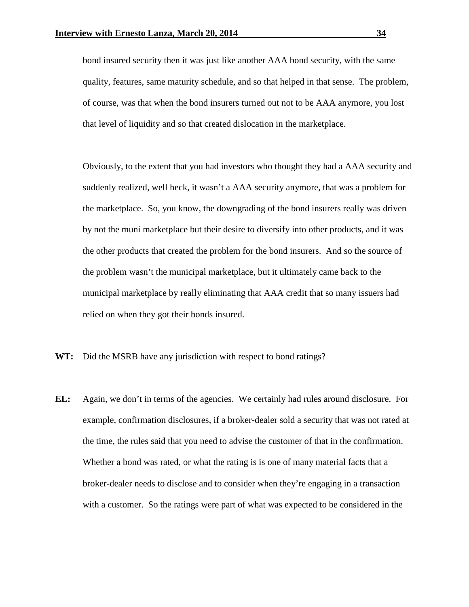bond insured security then it was just like another AAA bond security, with the same quality, features, same maturity schedule, and so that helped in that sense. The problem, of course, was that when the bond insurers turned out not to be AAA anymore, you lost that level of liquidity and so that created dislocation in the marketplace.

Obviously, to the extent that you had investors who thought they had a AAA security and suddenly realized, well heck, it wasn't a AAA security anymore, that was a problem for the marketplace. So, you know, the downgrading of the bond insurers really was driven by not the muni marketplace but their desire to diversify into other products, and it was the other products that created the problem for the bond insurers. And so the source of the problem wasn't the municipal marketplace, but it ultimately came back to the municipal marketplace by really eliminating that AAA credit that so many issuers had relied on when they got their bonds insured.

- **WT:** Did the MSRB have any jurisdiction with respect to bond ratings?
- **EL:** Again, we don't in terms of the agencies. We certainly had rules around disclosure. For example, confirmation disclosures, if a broker-dealer sold a security that was not rated at the time, the rules said that you need to advise the customer of that in the confirmation. Whether a bond was rated, or what the rating is is one of many material facts that a broker-dealer needs to disclose and to consider when they're engaging in a transaction with a customer. So the ratings were part of what was expected to be considered in the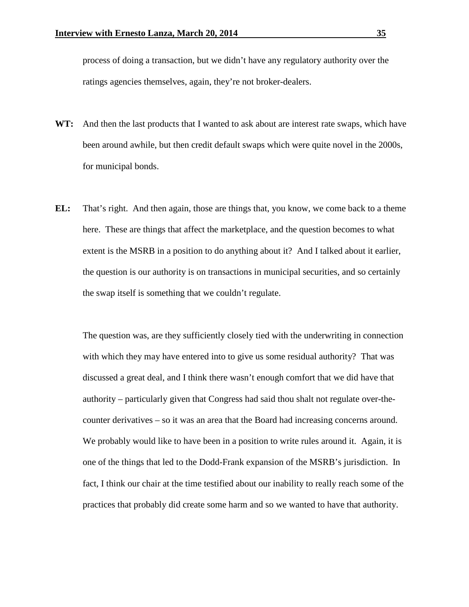process of doing a transaction, but we didn't have any regulatory authority over the ratings agencies themselves, again, they're not broker-dealers.

- **WT:** And then the last products that I wanted to ask about are interest rate swaps, which have been around awhile, but then credit default swaps which were quite novel in the 2000s, for municipal bonds.
- **EL:** That's right. And then again, those are things that, you know, we come back to a theme here. These are things that affect the marketplace, and the question becomes to what extent is the MSRB in a position to do anything about it? And I talked about it earlier, the question is our authority is on transactions in municipal securities, and so certainly the swap itself is something that we couldn't regulate.

The question was, are they sufficiently closely tied with the underwriting in connection with which they may have entered into to give us some residual authority? That was discussed a great deal, and I think there wasn't enough comfort that we did have that authority – particularly given that Congress had said thou shalt not regulate over-thecounter derivatives – so it was an area that the Board had increasing concerns around. We probably would like to have been in a position to write rules around it. Again, it is one of the things that led to the Dodd-Frank expansion of the MSRB's jurisdiction. In fact, I think our chair at the time testified about our inability to really reach some of the practices that probably did create some harm and so we wanted to have that authority.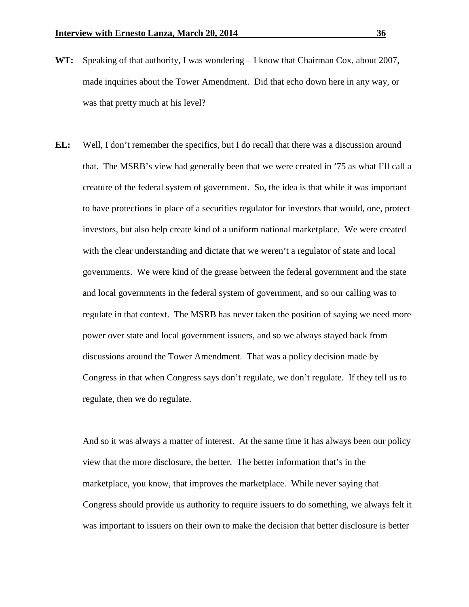- **WT:** Speaking of that authority, I was wondering I know that Chairman Cox, about 2007, made inquiries about the Tower Amendment. Did that echo down here in any way, or was that pretty much at his level?
- **EL:** Well, I don't remember the specifics, but I do recall that there was a discussion around that. The MSRB's view had generally been that we were created in '75 as what I'll call a creature of the federal system of government. So, the idea is that while it was important to have protections in place of a securities regulator for investors that would, one, protect investors, but also help create kind of a uniform national marketplace. We were created with the clear understanding and dictate that we weren't a regulator of state and local governments. We were kind of the grease between the federal government and the state and local governments in the federal system of government, and so our calling was to regulate in that context. The MSRB has never taken the position of saying we need more power over state and local government issuers, and so we always stayed back from discussions around the Tower Amendment. That was a policy decision made by Congress in that when Congress says don't regulate, we don't regulate. If they tell us to regulate, then we do regulate.

And so it was always a matter of interest. At the same time it has always been our policy view that the more disclosure, the better. The better information that's in the marketplace, you know, that improves the marketplace. While never saying that Congress should provide us authority to require issuers to do something, we always felt it was important to issuers on their own to make the decision that better disclosure is better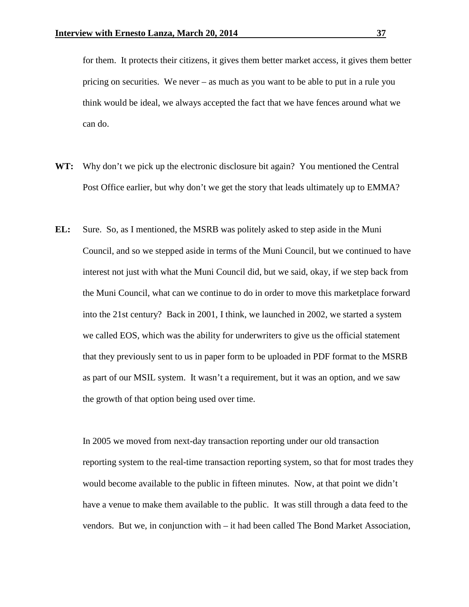for them. It protects their citizens, it gives them better market access, it gives them better pricing on securities. We never – as much as you want to be able to put in a rule you think would be ideal, we always accepted the fact that we have fences around what we can do.

- **WT:** Why don't we pick up the electronic disclosure bit again? You mentioned the Central Post Office earlier, but why don't we get the story that leads ultimately up to EMMA?
- **EL:** Sure. So, as I mentioned, the MSRB was politely asked to step aside in the Muni Council, and so we stepped aside in terms of the Muni Council, but we continued to have interest not just with what the Muni Council did, but we said, okay, if we step back from the Muni Council, what can we continue to do in order to move this marketplace forward into the 21st century? Back in 2001, I think, we launched in 2002, we started a system we called EOS, which was the ability for underwriters to give us the official statement that they previously sent to us in paper form to be uploaded in PDF format to the MSRB as part of our MSIL system. It wasn't a requirement, but it was an option, and we saw the growth of that option being used over time.

In 2005 we moved from next-day transaction reporting under our old transaction reporting system to the real-time transaction reporting system, so that for most trades they would become available to the public in fifteen minutes. Now, at that point we didn't have a venue to make them available to the public. It was still through a data feed to the vendors. But we, in conjunction with – it had been called The Bond Market Association,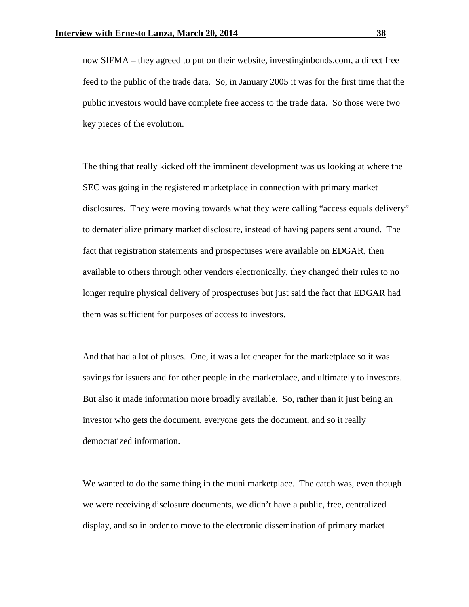now SIFMA – they agreed to put on their website, investinginbonds.com, a direct free feed to the public of the trade data. So, in January 2005 it was for the first time that the public investors would have complete free access to the trade data. So those were two key pieces of the evolution.

The thing that really kicked off the imminent development was us looking at where the SEC was going in the registered marketplace in connection with primary market disclosures. They were moving towards what they were calling "access equals delivery" to dematerialize primary market disclosure, instead of having papers sent around. The fact that registration statements and prospectuses were available on EDGAR, then available to others through other vendors electronically, they changed their rules to no longer require physical delivery of prospectuses but just said the fact that EDGAR had them was sufficient for purposes of access to investors.

And that had a lot of pluses. One, it was a lot cheaper for the marketplace so it was savings for issuers and for other people in the marketplace, and ultimately to investors. But also it made information more broadly available. So, rather than it just being an investor who gets the document, everyone gets the document, and so it really democratized information.

We wanted to do the same thing in the muni marketplace. The catch was, even though we were receiving disclosure documents, we didn't have a public, free, centralized display, and so in order to move to the electronic dissemination of primary market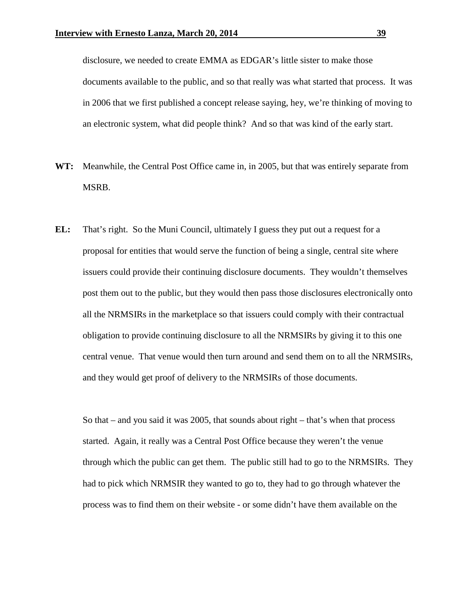disclosure, we needed to create EMMA as EDGAR's little sister to make those documents available to the public, and so that really was what started that process. It was in 2006 that we first published a concept release saying, hey, we're thinking of moving to an electronic system, what did people think? And so that was kind of the early start.

- **WT:** Meanwhile, the Central Post Office came in, in 2005, but that was entirely separate from MSRB.
- **EL:** That's right. So the Muni Council, ultimately I guess they put out a request for a proposal for entities that would serve the function of being a single, central site where issuers could provide their continuing disclosure documents. They wouldn't themselves post them out to the public, but they would then pass those disclosures electronically onto all the NRMSIRs in the marketplace so that issuers could comply with their contractual obligation to provide continuing disclosure to all the NRMSIRs by giving it to this one central venue. That venue would then turn around and send them on to all the NRMSIRs, and they would get proof of delivery to the NRMSIRs of those documents.

So that – and you said it was 2005, that sounds about right – that's when that process started. Again, it really was a Central Post Office because they weren't the venue through which the public can get them. The public still had to go to the NRMSIRs. They had to pick which NRMSIR they wanted to go to, they had to go through whatever the process was to find them on their website - or some didn't have them available on the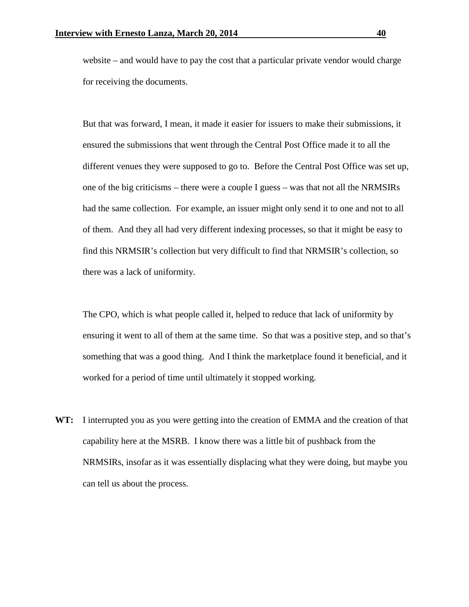website – and would have to pay the cost that a particular private vendor would charge for receiving the documents.

But that was forward, I mean, it made it easier for issuers to make their submissions, it ensured the submissions that went through the Central Post Office made it to all the different venues they were supposed to go to. Before the Central Post Office was set up, one of the big criticisms – there were a couple I guess – was that not all the NRMSIRs had the same collection. For example, an issuer might only send it to one and not to all of them. And they all had very different indexing processes, so that it might be easy to find this NRMSIR's collection but very difficult to find that NRMSIR's collection, so there was a lack of uniformity.

The CPO, which is what people called it, helped to reduce that lack of uniformity by ensuring it went to all of them at the same time. So that was a positive step, and so that's something that was a good thing. And I think the marketplace found it beneficial, and it worked for a period of time until ultimately it stopped working.

**WT:** I interrupted you as you were getting into the creation of EMMA and the creation of that capability here at the MSRB. I know there was a little bit of pushback from the NRMSIRs, insofar as it was essentially displacing what they were doing, but maybe you can tell us about the process.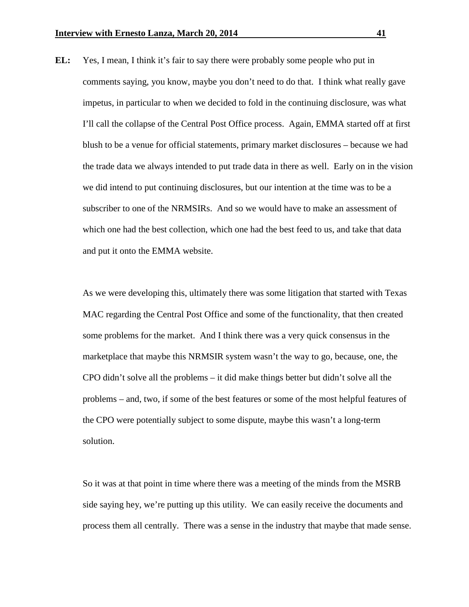**EL:** Yes, I mean, I think it's fair to say there were probably some people who put in comments saying, you know, maybe you don't need to do that. I think what really gave impetus, in particular to when we decided to fold in the continuing disclosure, was what I'll call the collapse of the Central Post Office process. Again, EMMA started off at first blush to be a venue for official statements, primary market disclosures – because we had the trade data we always intended to put trade data in there as well. Early on in the vision we did intend to put continuing disclosures, but our intention at the time was to be a subscriber to one of the NRMSIRs. And so we would have to make an assessment of which one had the best collection, which one had the best feed to us, and take that data and put it onto the EMMA website.

As we were developing this, ultimately there was some litigation that started with Texas MAC regarding the Central Post Office and some of the functionality, that then created some problems for the market. And I think there was a very quick consensus in the marketplace that maybe this NRMSIR system wasn't the way to go, because, one, the CPO didn't solve all the problems – it did make things better but didn't solve all the problems – and, two, if some of the best features or some of the most helpful features of the CPO were potentially subject to some dispute, maybe this wasn't a long-term solution.

So it was at that point in time where there was a meeting of the minds from the MSRB side saying hey, we're putting up this utility. We can easily receive the documents and process them all centrally. There was a sense in the industry that maybe that made sense.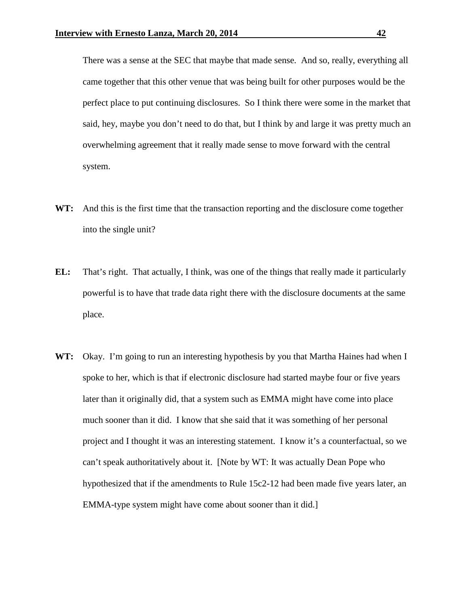There was a sense at the SEC that maybe that made sense. And so, really, everything all came together that this other venue that was being built for other purposes would be the perfect place to put continuing disclosures. So I think there were some in the market that said, hey, maybe you don't need to do that, but I think by and large it was pretty much an overwhelming agreement that it really made sense to move forward with the central system.

- **WT:** And this is the first time that the transaction reporting and the disclosure come together into the single unit?
- **EL:** That's right. That actually, I think, was one of the things that really made it particularly powerful is to have that trade data right there with the disclosure documents at the same place.
- **WT:** Okay. I'm going to run an interesting hypothesis by you that Martha Haines had when I spoke to her, which is that if electronic disclosure had started maybe four or five years later than it originally did, that a system such as EMMA might have come into place much sooner than it did. I know that she said that it was something of her personal project and I thought it was an interesting statement. I know it's a counterfactual, so we can't speak authoritatively about it. [Note by WT: It was actually Dean Pope who hypothesized that if the amendments to Rule 15c2-12 had been made five years later, an EMMA-type system might have come about sooner than it did.]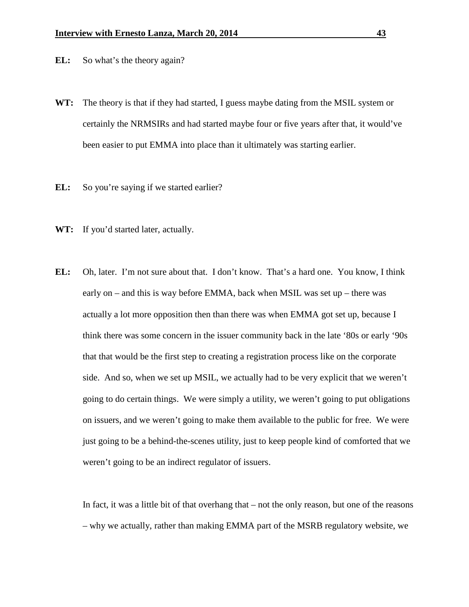- **EL:** So what's the theory again?
- **WT:** The theory is that if they had started, I guess maybe dating from the MSIL system or certainly the NRMSIRs and had started maybe four or five years after that, it would've been easier to put EMMA into place than it ultimately was starting earlier.
- **EL:** So you're saying if we started earlier?
- **WT:** If you'd started later, actually.
- **EL:** Oh, later. I'm not sure about that. I don't know. That's a hard one. You know, I think early on – and this is way before EMMA, back when MSIL was set up – there was actually a lot more opposition then than there was when EMMA got set up, because I think there was some concern in the issuer community back in the late '80s or early '90s that that would be the first step to creating a registration process like on the corporate side. And so, when we set up MSIL, we actually had to be very explicit that we weren't going to do certain things. We were simply a utility, we weren't going to put obligations on issuers, and we weren't going to make them available to the public for free. We were just going to be a behind-the-scenes utility, just to keep people kind of comforted that we weren't going to be an indirect regulator of issuers.

In fact, it was a little bit of that overhang that – not the only reason, but one of the reasons – why we actually, rather than making EMMA part of the MSRB regulatory website, we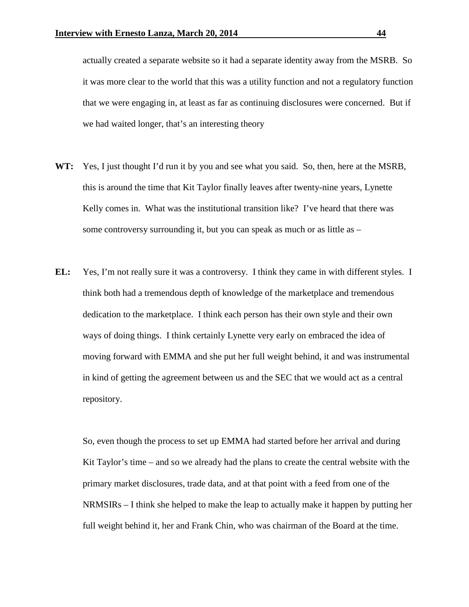actually created a separate website so it had a separate identity away from the MSRB. So it was more clear to the world that this was a utility function and not a regulatory function that we were engaging in, at least as far as continuing disclosures were concerned. But if we had waited longer, that's an interesting theory

- **WT:** Yes, I just thought I'd run it by you and see what you said. So, then, here at the MSRB, this is around the time that Kit Taylor finally leaves after twenty-nine years, Lynette Kelly comes in. What was the institutional transition like? I've heard that there was some controversy surrounding it, but you can speak as much or as little as –
- **EL:** Yes, I'm not really sure it was a controversy. I think they came in with different styles. I think both had a tremendous depth of knowledge of the marketplace and tremendous dedication to the marketplace. I think each person has their own style and their own ways of doing things. I think certainly Lynette very early on embraced the idea of moving forward with EMMA and she put her full weight behind, it and was instrumental in kind of getting the agreement between us and the SEC that we would act as a central repository.

So, even though the process to set up EMMA had started before her arrival and during Kit Taylor's time – and so we already had the plans to create the central website with the primary market disclosures, trade data, and at that point with a feed from one of the NRMSIRs – I think she helped to make the leap to actually make it happen by putting her full weight behind it, her and Frank Chin, who was chairman of the Board at the time.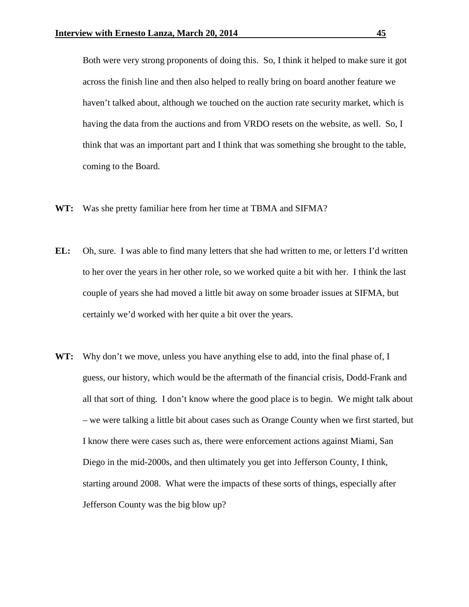Both were very strong proponents of doing this. So, I think it helped to make sure it got across the finish line and then also helped to really bring on board another feature we haven't talked about, although we touched on the auction rate security market, which is having the data from the auctions and from VRDO resets on the website, as well. So, I think that was an important part and I think that was something she brought to the table, coming to the Board.

- **WT:** Was she pretty familiar here from her time at TBMA and SIFMA?
- **EL:** Oh, sure. I was able to find many letters that she had written to me, or letters I'd written to her over the years in her other role, so we worked quite a bit with her. I think the last couple of years she had moved a little bit away on some broader issues at SIFMA, but certainly we'd worked with her quite a bit over the years.
- **WT:** Why don't we move, unless you have anything else to add, into the final phase of, I guess, our history, which would be the aftermath of the financial crisis, Dodd-Frank and all that sort of thing. I don't know where the good place is to begin. We might talk about – we were talking a little bit about cases such as Orange County when we first started, but I know there were cases such as, there were enforcement actions against Miami, San Diego in the mid-2000s, and then ultimately you get into Jefferson County, I think, starting around 2008. What were the impacts of these sorts of things, especially after Jefferson County was the big blow up?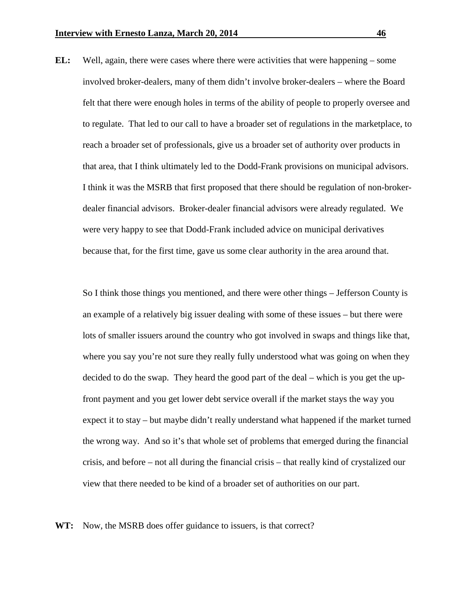**EL:** Well, again, there were cases where there were activities that were happening – some involved broker-dealers, many of them didn't involve broker-dealers – where the Board felt that there were enough holes in terms of the ability of people to properly oversee and to regulate. That led to our call to have a broader set of regulations in the marketplace, to reach a broader set of professionals, give us a broader set of authority over products in that area, that I think ultimately led to the Dodd-Frank provisions on municipal advisors. I think it was the MSRB that first proposed that there should be regulation of non-brokerdealer financial advisors. Broker-dealer financial advisors were already regulated. We were very happy to see that Dodd-Frank included advice on municipal derivatives because that, for the first time, gave us some clear authority in the area around that.

So I think those things you mentioned, and there were other things – Jefferson County is an example of a relatively big issuer dealing with some of these issues – but there were lots of smaller issuers around the country who got involved in swaps and things like that, where you say you're not sure they really fully understood what was going on when they decided to do the swap. They heard the good part of the deal – which is you get the upfront payment and you get lower debt service overall if the market stays the way you expect it to stay – but maybe didn't really understand what happened if the market turned the wrong way. And so it's that whole set of problems that emerged during the financial crisis, and before – not all during the financial crisis – that really kind of crystalized our view that there needed to be kind of a broader set of authorities on our part.

**WT:** Now, the MSRB does offer guidance to issuers, is that correct?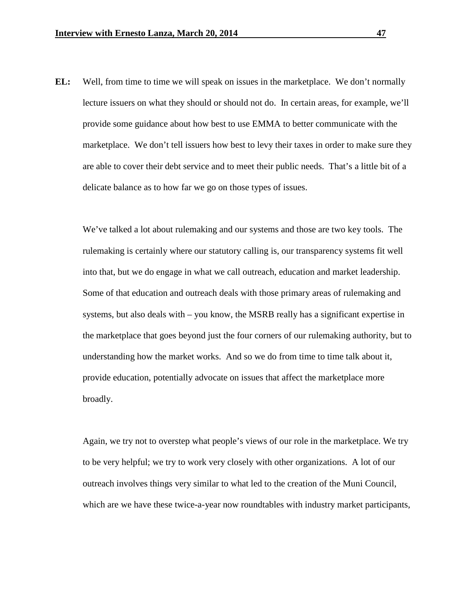**EL:** Well, from time to time we will speak on issues in the marketplace. We don't normally lecture issuers on what they should or should not do. In certain areas, for example, we'll provide some guidance about how best to use EMMA to better communicate with the marketplace. We don't tell issuers how best to levy their taxes in order to make sure they are able to cover their debt service and to meet their public needs. That's a little bit of a delicate balance as to how far we go on those types of issues.

We've talked a lot about rulemaking and our systems and those are two key tools. The rulemaking is certainly where our statutory calling is, our transparency systems fit well into that, but we do engage in what we call outreach, education and market leadership. Some of that education and outreach deals with those primary areas of rulemaking and systems, but also deals with – you know, the MSRB really has a significant expertise in the marketplace that goes beyond just the four corners of our rulemaking authority, but to understanding how the market works. And so we do from time to time talk about it, provide education, potentially advocate on issues that affect the marketplace more broadly.

Again, we try not to overstep what people's views of our role in the marketplace. We try to be very helpful; we try to work very closely with other organizations. A lot of our outreach involves things very similar to what led to the creation of the Muni Council, which are we have these twice-a-year now roundtables with industry market participants,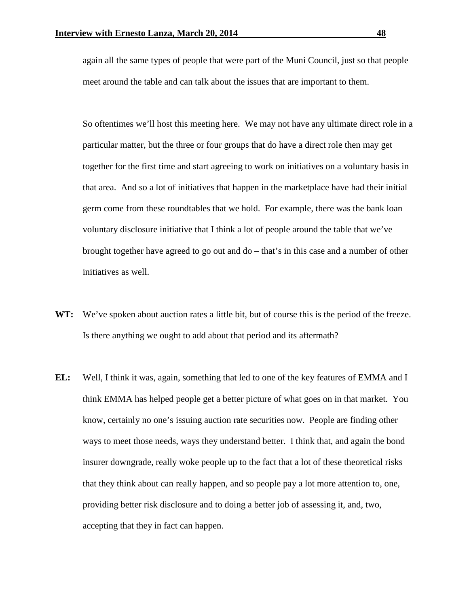again all the same types of people that were part of the Muni Council, just so that people meet around the table and can talk about the issues that are important to them.

So oftentimes we'll host this meeting here. We may not have any ultimate direct role in a particular matter, but the three or four groups that do have a direct role then may get together for the first time and start agreeing to work on initiatives on a voluntary basis in that area. And so a lot of initiatives that happen in the marketplace have had their initial germ come from these roundtables that we hold. For example, there was the bank loan voluntary disclosure initiative that I think a lot of people around the table that we've brought together have agreed to go out and do – that's in this case and a number of other initiatives as well.

- WT: We've spoken about auction rates a little bit, but of course this is the period of the freeze. Is there anything we ought to add about that period and its aftermath?
- **EL:** Well, I think it was, again, something that led to one of the key features of EMMA and I think EMMA has helped people get a better picture of what goes on in that market. You know, certainly no one's issuing auction rate securities now. People are finding other ways to meet those needs, ways they understand better. I think that, and again the bond insurer downgrade, really woke people up to the fact that a lot of these theoretical risks that they think about can really happen, and so people pay a lot more attention to, one, providing better risk disclosure and to doing a better job of assessing it, and, two, accepting that they in fact can happen.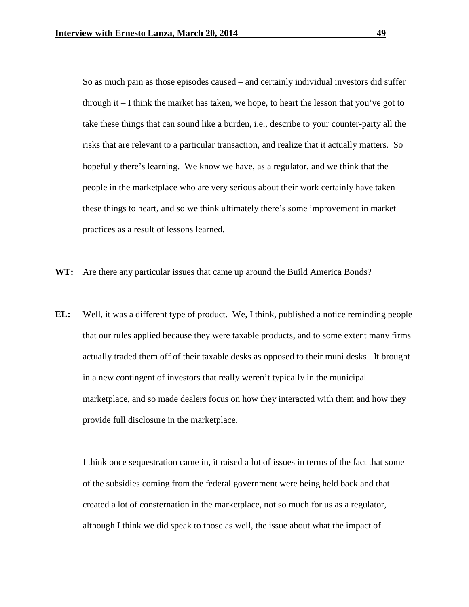So as much pain as those episodes caused – and certainly individual investors did suffer through it – I think the market has taken, we hope, to heart the lesson that you've got to take these things that can sound like a burden, i.e., describe to your counter-party all the risks that are relevant to a particular transaction, and realize that it actually matters. So hopefully there's learning. We know we have, as a regulator, and we think that the people in the marketplace who are very serious about their work certainly have taken these things to heart, and so we think ultimately there's some improvement in market practices as a result of lessons learned.

- **WT:** Are there any particular issues that came up around the Build America Bonds?
- **EL:** Well, it was a different type of product. We, I think, published a notice reminding people that our rules applied because they were taxable products, and to some extent many firms actually traded them off of their taxable desks as opposed to their muni desks. It brought in a new contingent of investors that really weren't typically in the municipal marketplace, and so made dealers focus on how they interacted with them and how they provide full disclosure in the marketplace.

I think once sequestration came in, it raised a lot of issues in terms of the fact that some of the subsidies coming from the federal government were being held back and that created a lot of consternation in the marketplace, not so much for us as a regulator, although I think we did speak to those as well, the issue about what the impact of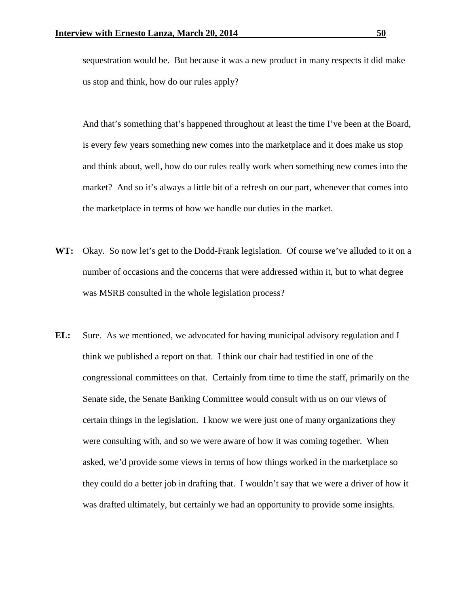sequestration would be. But because it was a new product in many respects it did make us stop and think, how do our rules apply?

And that's something that's happened throughout at least the time I've been at the Board, is every few years something new comes into the marketplace and it does make us stop and think about, well, how do our rules really work when something new comes into the market? And so it's always a little bit of a refresh on our part, whenever that comes into the marketplace in terms of how we handle our duties in the market.

- **WT:** Okay. So now let's get to the Dodd-Frank legislation. Of course we've alluded to it on a number of occasions and the concerns that were addressed within it, but to what degree was MSRB consulted in the whole legislation process?
- **EL:** Sure. As we mentioned, we advocated for having municipal advisory regulation and I think we published a report on that. I think our chair had testified in one of the congressional committees on that. Certainly from time to time the staff, primarily on the Senate side, the Senate Banking Committee would consult with us on our views of certain things in the legislation. I know we were just one of many organizations they were consulting with, and so we were aware of how it was coming together. When asked, we'd provide some views in terms of how things worked in the marketplace so they could do a better job in drafting that. I wouldn't say that we were a driver of how it was drafted ultimately, but certainly we had an opportunity to provide some insights.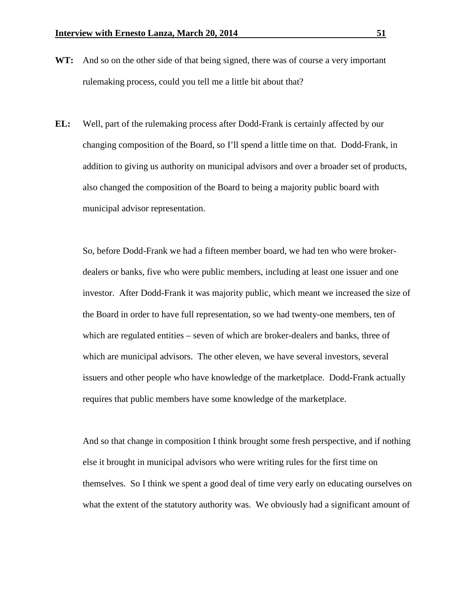- WT: And so on the other side of that being signed, there was of course a very important rulemaking process, could you tell me a little bit about that?
- **EL:** Well, part of the rulemaking process after Dodd-Frank is certainly affected by our changing composition of the Board, so I'll spend a little time on that. Dodd-Frank, in addition to giving us authority on municipal advisors and over a broader set of products, also changed the composition of the Board to being a majority public board with municipal advisor representation.

So, before Dodd-Frank we had a fifteen member board, we had ten who were brokerdealers or banks, five who were public members, including at least one issuer and one investor. After Dodd-Frank it was majority public, which meant we increased the size of the Board in order to have full representation, so we had twenty-one members, ten of which are regulated entities – seven of which are broker-dealers and banks, three of which are municipal advisors. The other eleven, we have several investors, several issuers and other people who have knowledge of the marketplace. Dodd-Frank actually requires that public members have some knowledge of the marketplace.

And so that change in composition I think brought some fresh perspective, and if nothing else it brought in municipal advisors who were writing rules for the first time on themselves. So I think we spent a good deal of time very early on educating ourselves on what the extent of the statutory authority was. We obviously had a significant amount of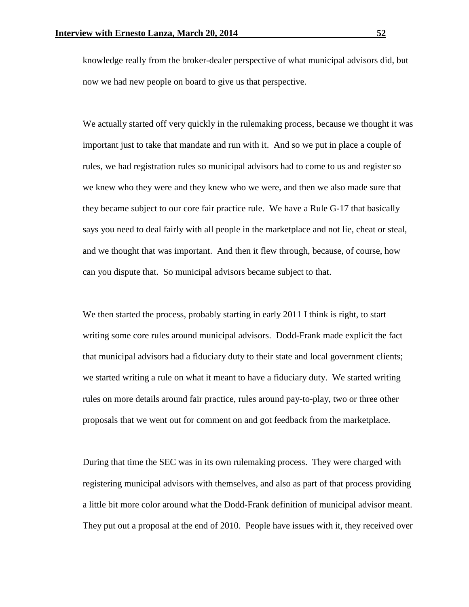knowledge really from the broker-dealer perspective of what municipal advisors did, but now we had new people on board to give us that perspective.

We actually started off very quickly in the rulemaking process, because we thought it was important just to take that mandate and run with it. And so we put in place a couple of rules, we had registration rules so municipal advisors had to come to us and register so we knew who they were and they knew who we were, and then we also made sure that they became subject to our core fair practice rule. We have a Rule G-17 that basically says you need to deal fairly with all people in the marketplace and not lie, cheat or steal, and we thought that was important. And then it flew through, because, of course, how can you dispute that. So municipal advisors became subject to that.

We then started the process, probably starting in early 2011 I think is right, to start writing some core rules around municipal advisors. Dodd-Frank made explicit the fact that municipal advisors had a fiduciary duty to their state and local government clients; we started writing a rule on what it meant to have a fiduciary duty. We started writing rules on more details around fair practice, rules around pay-to-play, two or three other proposals that we went out for comment on and got feedback from the marketplace.

During that time the SEC was in its own rulemaking process. They were charged with registering municipal advisors with themselves, and also as part of that process providing a little bit more color around what the Dodd-Frank definition of municipal advisor meant. They put out a proposal at the end of 2010. People have issues with it, they received over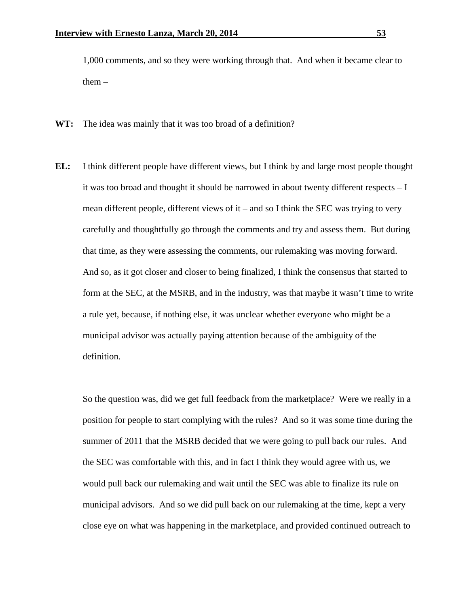1,000 comments, and so they were working through that. And when it became clear to them  $-$ 

- **WT:** The idea was mainly that it was too broad of a definition?
- **EL:** I think different people have different views, but I think by and large most people thought it was too broad and thought it should be narrowed in about twenty different respects – I mean different people, different views of it – and so I think the SEC was trying to very carefully and thoughtfully go through the comments and try and assess them. But during that time, as they were assessing the comments, our rulemaking was moving forward. And so, as it got closer and closer to being finalized, I think the consensus that started to form at the SEC, at the MSRB, and in the industry, was that maybe it wasn't time to write a rule yet, because, if nothing else, it was unclear whether everyone who might be a municipal advisor was actually paying attention because of the ambiguity of the definition.

So the question was, did we get full feedback from the marketplace? Were we really in a position for people to start complying with the rules? And so it was some time during the summer of 2011 that the MSRB decided that we were going to pull back our rules. And the SEC was comfortable with this, and in fact I think they would agree with us, we would pull back our rulemaking and wait until the SEC was able to finalize its rule on municipal advisors. And so we did pull back on our rulemaking at the time, kept a very close eye on what was happening in the marketplace, and provided continued outreach to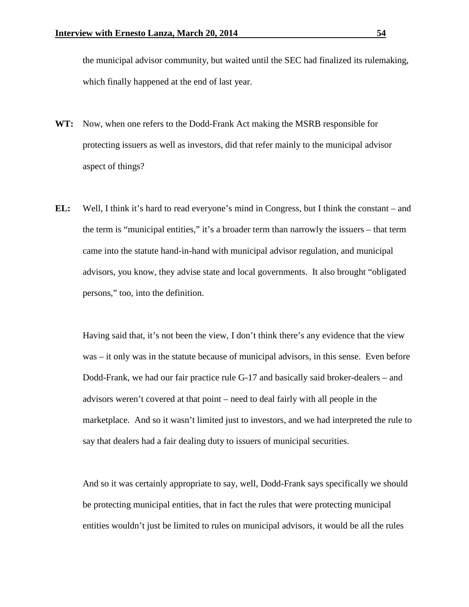the municipal advisor community, but waited until the SEC had finalized its rulemaking, which finally happened at the end of last year.

- **WT:** Now, when one refers to the Dodd-Frank Act making the MSRB responsible for protecting issuers as well as investors, did that refer mainly to the municipal advisor aspect of things?
- **EL:** Well, I think it's hard to read everyone's mind in Congress, but I think the constant and the term is "municipal entities," it's a broader term than narrowly the issuers – that term came into the statute hand-in-hand with municipal advisor regulation, and municipal advisors, you know, they advise state and local governments. It also brought "obligated persons," too, into the definition.

Having said that, it's not been the view, I don't think there's any evidence that the view was – it only was in the statute because of municipal advisors, in this sense. Even before Dodd-Frank, we had our fair practice rule G-17 and basically said broker-dealers – and advisors weren't covered at that point – need to deal fairly with all people in the marketplace. And so it wasn't limited just to investors, and we had interpreted the rule to say that dealers had a fair dealing duty to issuers of municipal securities.

And so it was certainly appropriate to say, well, Dodd-Frank says specifically we should be protecting municipal entities, that in fact the rules that were protecting municipal entities wouldn't just be limited to rules on municipal advisors, it would be all the rules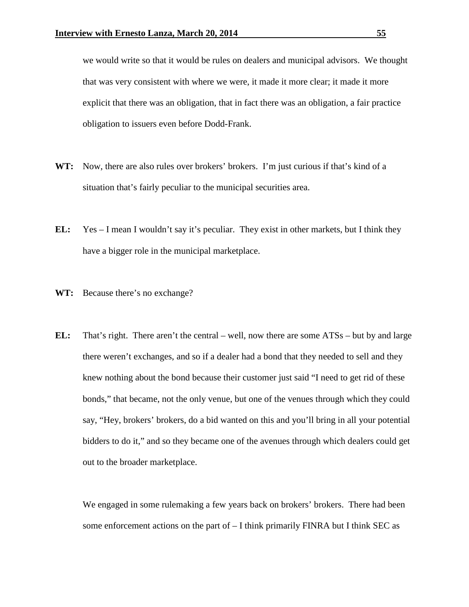we would write so that it would be rules on dealers and municipal advisors. We thought that was very consistent with where we were, it made it more clear; it made it more explicit that there was an obligation, that in fact there was an obligation, a fair practice obligation to issuers even before Dodd-Frank.

- **WT:** Now, there are also rules over brokers' brokers. I'm just curious if that's kind of a situation that's fairly peculiar to the municipal securities area.
- **EL:** Yes I mean I wouldn't say it's peculiar. They exist in other markets, but I think they have a bigger role in the municipal marketplace.
- **WT:** Because there's no exchange?
- **EL:** That's right. There aren't the central well, now there are some ATSs but by and large there weren't exchanges, and so if a dealer had a bond that they needed to sell and they knew nothing about the bond because their customer just said "I need to get rid of these bonds," that became, not the only venue, but one of the venues through which they could say, "Hey, brokers' brokers, do a bid wanted on this and you'll bring in all your potential bidders to do it," and so they became one of the avenues through which dealers could get out to the broader marketplace.

We engaged in some rulemaking a few years back on brokers' brokers. There had been some enforcement actions on the part of – I think primarily FINRA but I think SEC as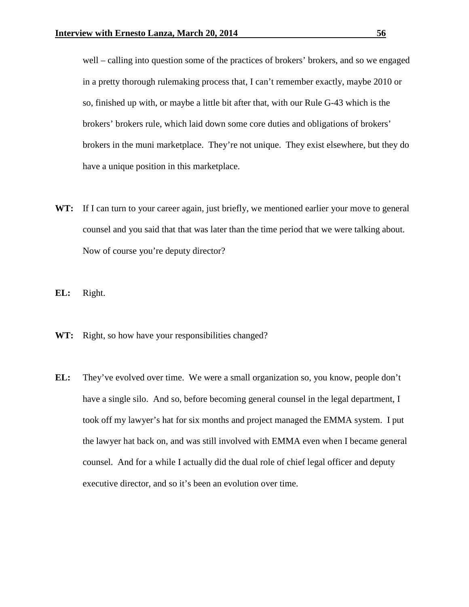well – calling into question some of the practices of brokers' brokers, and so we engaged in a pretty thorough rulemaking process that, I can't remember exactly, maybe 2010 or so, finished up with, or maybe a little bit after that, with our Rule G-43 which is the brokers' brokers rule, which laid down some core duties and obligations of brokers' brokers in the muni marketplace. They're not unique. They exist elsewhere, but they do have a unique position in this marketplace.

- WT: If I can turn to your career again, just briefly, we mentioned earlier your move to general counsel and you said that that was later than the time period that we were talking about. Now of course you're deputy director?
- **EL:** Right.
- WT: Right, so how have your responsibilities changed?
- **EL:** They've evolved over time. We were a small organization so, you know, people don't have a single silo. And so, before becoming general counsel in the legal department, I took off my lawyer's hat for six months and project managed the EMMA system. I put the lawyer hat back on, and was still involved with EMMA even when I became general counsel. And for a while I actually did the dual role of chief legal officer and deputy executive director, and so it's been an evolution over time.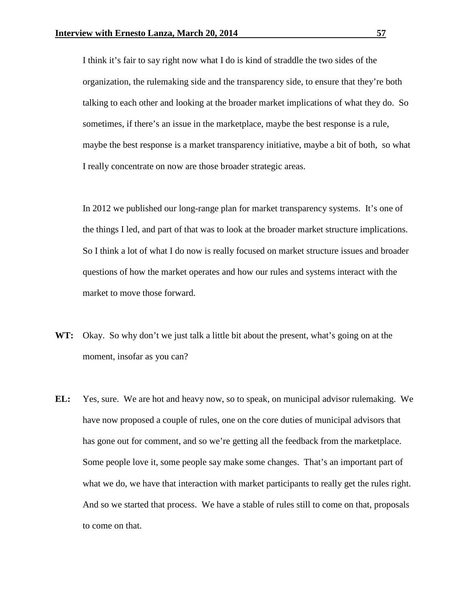I think it's fair to say right now what I do is kind of straddle the two sides of the organization, the rulemaking side and the transparency side, to ensure that they're both talking to each other and looking at the broader market implications of what they do. So sometimes, if there's an issue in the marketplace, maybe the best response is a rule, maybe the best response is a market transparency initiative, maybe a bit of both, so what I really concentrate on now are those broader strategic areas.

In 2012 we published our long-range plan for market transparency systems. It's one of the things I led, and part of that was to look at the broader market structure implications. So I think a lot of what I do now is really focused on market structure issues and broader questions of how the market operates and how our rules and systems interact with the market to move those forward.

- **WT:** Okay. So why don't we just talk a little bit about the present, what's going on at the moment, insofar as you can?
- **EL:** Yes, sure. We are hot and heavy now, so to speak, on municipal advisor rulemaking. We have now proposed a couple of rules, one on the core duties of municipal advisors that has gone out for comment, and so we're getting all the feedback from the marketplace. Some people love it, some people say make some changes. That's an important part of what we do, we have that interaction with market participants to really get the rules right. And so we started that process. We have a stable of rules still to come on that, proposals to come on that.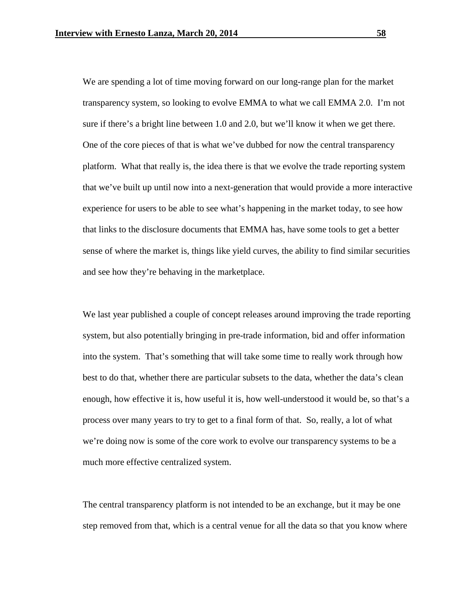We are spending a lot of time moving forward on our long-range plan for the market transparency system, so looking to evolve EMMA to what we call EMMA 2.0. I'm not sure if there's a bright line between 1.0 and 2.0, but we'll know it when we get there. One of the core pieces of that is what we've dubbed for now the central transparency platform. What that really is, the idea there is that we evolve the trade reporting system that we've built up until now into a next-generation that would provide a more interactive experience for users to be able to see what's happening in the market today, to see how that links to the disclosure documents that EMMA has, have some tools to get a better sense of where the market is, things like yield curves, the ability to find similar securities and see how they're behaving in the marketplace.

We last year published a couple of concept releases around improving the trade reporting system, but also potentially bringing in pre-trade information, bid and offer information into the system. That's something that will take some time to really work through how best to do that, whether there are particular subsets to the data, whether the data's clean enough, how effective it is, how useful it is, how well-understood it would be, so that's a process over many years to try to get to a final form of that. So, really, a lot of what we're doing now is some of the core work to evolve our transparency systems to be a much more effective centralized system.

The central transparency platform is not intended to be an exchange, but it may be one step removed from that, which is a central venue for all the data so that you know where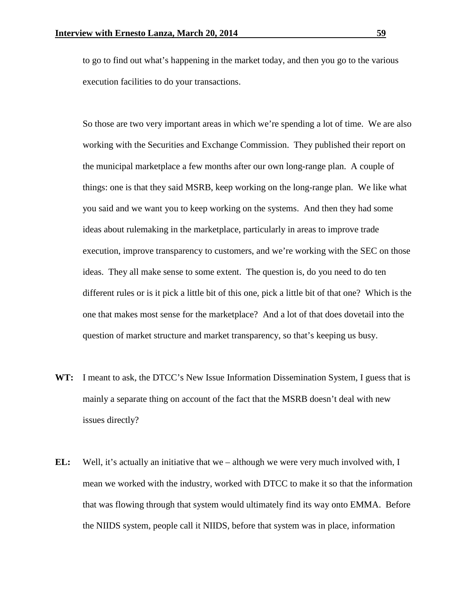to go to find out what's happening in the market today, and then you go to the various execution facilities to do your transactions.

So those are two very important areas in which we're spending a lot of time. We are also working with the Securities and Exchange Commission. They published their report on the municipal marketplace a few months after our own long-range plan. A couple of things: one is that they said MSRB, keep working on the long-range plan. We like what you said and we want you to keep working on the systems. And then they had some ideas about rulemaking in the marketplace, particularly in areas to improve trade execution, improve transparency to customers, and we're working with the SEC on those ideas. They all make sense to some extent. The question is, do you need to do ten different rules or is it pick a little bit of this one, pick a little bit of that one? Which is the one that makes most sense for the marketplace? And a lot of that does dovetail into the question of market structure and market transparency, so that's keeping us busy.

- **WT:** I meant to ask, the DTCC's New Issue Information Dissemination System, I guess that is mainly a separate thing on account of the fact that the MSRB doesn't deal with new issues directly?
- **EL:** Well, it's actually an initiative that we although we were very much involved with, I mean we worked with the industry, worked with DTCC to make it so that the information that was flowing through that system would ultimately find its way onto EMMA. Before the NIIDS system, people call it NIIDS, before that system was in place, information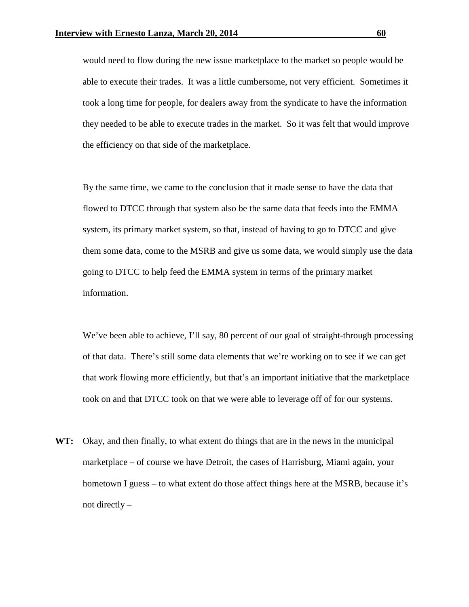would need to flow during the new issue marketplace to the market so people would be able to execute their trades. It was a little cumbersome, not very efficient. Sometimes it took a long time for people, for dealers away from the syndicate to have the information they needed to be able to execute trades in the market. So it was felt that would improve the efficiency on that side of the marketplace.

By the same time, we came to the conclusion that it made sense to have the data that flowed to DTCC through that system also be the same data that feeds into the EMMA system, its primary market system, so that, instead of having to go to DTCC and give them some data, come to the MSRB and give us some data, we would simply use the data going to DTCC to help feed the EMMA system in terms of the primary market information.

We've been able to achieve, I'll say, 80 percent of our goal of straight-through processing of that data. There's still some data elements that we're working on to see if we can get that work flowing more efficiently, but that's an important initiative that the marketplace took on and that DTCC took on that we were able to leverage off of for our systems.

**WT:** Okay, and then finally, to what extent do things that are in the news in the municipal marketplace – of course we have Detroit, the cases of Harrisburg, Miami again, your hometown I guess – to what extent do those affect things here at the MSRB, because it's not directly –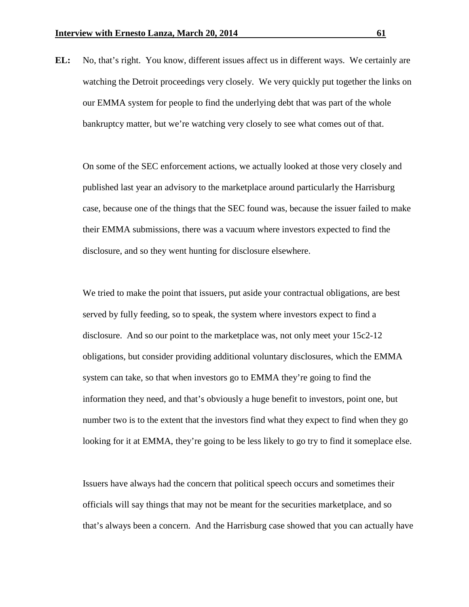**EL:** No, that's right. You know, different issues affect us in different ways. We certainly are watching the Detroit proceedings very closely. We very quickly put together the links on our EMMA system for people to find the underlying debt that was part of the whole bankruptcy matter, but we're watching very closely to see what comes out of that.

On some of the SEC enforcement actions, we actually looked at those very closely and published last year an advisory to the marketplace around particularly the Harrisburg case, because one of the things that the SEC found was, because the issuer failed to make their EMMA submissions, there was a vacuum where investors expected to find the disclosure, and so they went hunting for disclosure elsewhere.

We tried to make the point that issuers, put aside your contractual obligations, are best served by fully feeding, so to speak, the system where investors expect to find a disclosure. And so our point to the marketplace was, not only meet your 15c2-12 obligations, but consider providing additional voluntary disclosures, which the EMMA system can take, so that when investors go to EMMA they're going to find the information they need, and that's obviously a huge benefit to investors, point one, but number two is to the extent that the investors find what they expect to find when they go looking for it at EMMA, they're going to be less likely to go try to find it someplace else.

Issuers have always had the concern that political speech occurs and sometimes their officials will say things that may not be meant for the securities marketplace, and so that's always been a concern. And the Harrisburg case showed that you can actually have